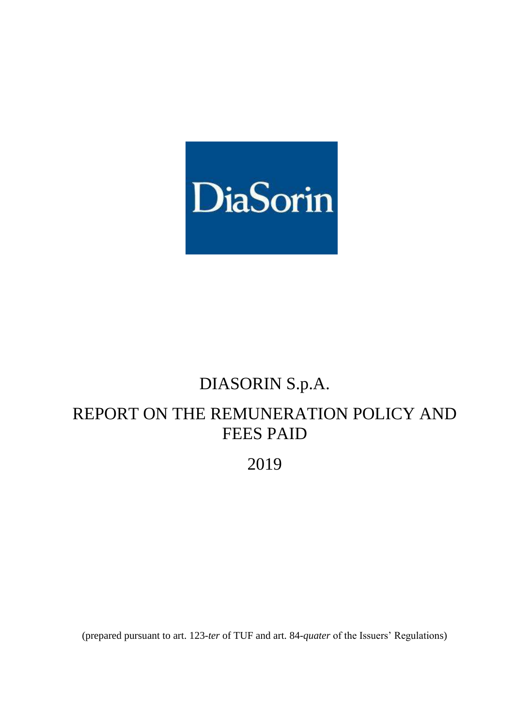

# DIASORIN S.p.A.

# REPORT ON THE REMUNERATION POLICY AND FEES PAID

# 2019

(prepared pursuant to art. 123-*ter* of TUF and art. 84-*quater* of the Issuers' Regulations)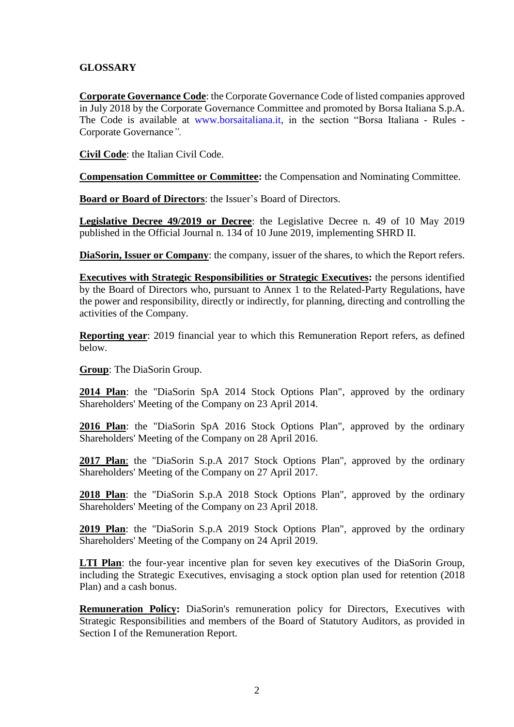# **GLOSSARY**

**Corporate Governance Code**: the Corporate Governance Code of listed companies approved in July 2018 by the Corporate Governance Committee and promoted by Borsa Italiana S.p.A. The Code is available at [www.borsaitaliana.it,](http://www.borsaitaliana.it/) in the section "Borsa Italiana - Rules - Corporate Governance*".*

**Civil Code**: the Italian Civil Code.

**Compensation Committee or Committee:** the Compensation and Nominating Committee.

**Board or Board of Directors**: the Issuer's Board of Directors.

**Legislative Decree 49/2019 or Decree**: the Legislative Decree n. 49 of 10 May 2019 published in the Official Journal n. 134 of 10 June 2019, implementing SHRD II.

**DiaSorin, Issuer or Company**: the company, issuer of the shares, to which the Report refers.

**Executives with Strategic Responsibilities or Strategic Executives:** the persons identified by the Board of Directors who, pursuant to Annex 1 to the Related-Party Regulations, have the power and responsibility, directly or indirectly, for planning, directing and controlling the activities of the Company.

**Reporting year**: 2019 financial year to which this Remuneration Report refers, as defined below.

**Group**: The DiaSorin Group.

**2014 Plan**: the "DiaSorin SpA 2014 Stock Options Plan", approved by the ordinary Shareholders' Meeting of the Company on 23 April 2014.

**2016 Plan**: the "DiaSorin SpA 2016 Stock Options Plan", approved by the ordinary Shareholders' Meeting of the Company on 28 April 2016.

**2017 Plan**: the "DiaSorin S.p.A 2017 Stock Options Plan", approved by the ordinary Shareholders' Meeting of the Company on 27 April 2017.

**2018 Plan**: the "DiaSorin S.p.A 2018 Stock Options Plan", approved by the ordinary Shareholders' Meeting of the Company on 23 April 2018.

**2019 Plan**: the "DiaSorin S.p.A 2019 Stock Options Plan", approved by the ordinary Shareholders' Meeting of the Company on 24 April 2019.

**LTI Plan**: the four-year incentive plan for seven key executives of the DiaSorin Group, including the Strategic Executives, envisaging a stock option plan used for retention (2018 Plan) and a cash bonus.

**Remuneration Policy:** DiaSorin's remuneration policy for Directors, Executives with Strategic Responsibilities and members of the Board of Statutory Auditors, as provided in Section I of the Remuneration Report.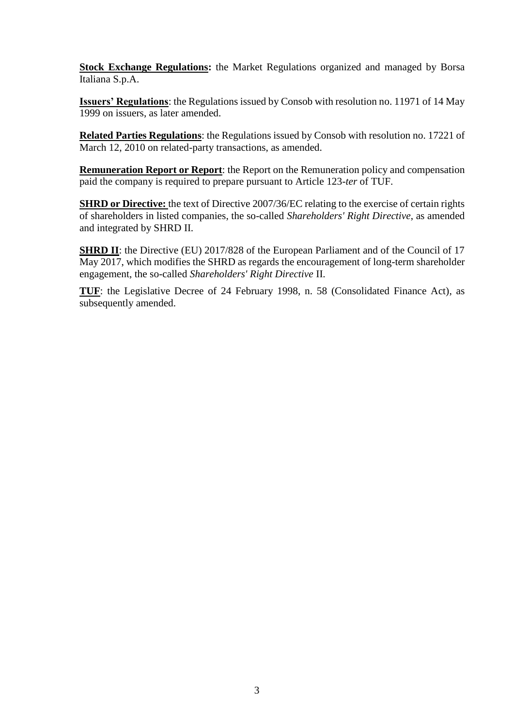**Stock Exchange Regulations:** the Market Regulations organized and managed by Borsa Italiana S.p.A.

**Issuers' Regulations**: the Regulations issued by Consob with resolution no. 11971 of 14 May 1999 on issuers, as later amended.

**Related Parties Regulations**: the Regulations issued by Consob with resolution no. 17221 of March 12, 2010 on related-party transactions, as amended.

**Remuneration Report or Report**: the Report on the Remuneration policy and compensation paid the company is required to prepare pursuant to Article 123-*ter* of TUF.

**SHRD or Directive:** the text of Directive 2007/36/EC relating to the exercise of certain rights of shareholders in listed companies, the so-called *Shareholders' Right Directive*, as amended and integrated by SHRD II.

**SHRD II**: the Directive (EU) 2017/828 of the European Parliament and of the Council of 17 May 2017, which modifies the SHRD as regards the encouragement of long-term shareholder engagement, the so-called *Shareholders' Right Directive* II.

**TUF**: the Legislative Decree of 24 February 1998, n. 58 (Consolidated Finance Act), as subsequently amended.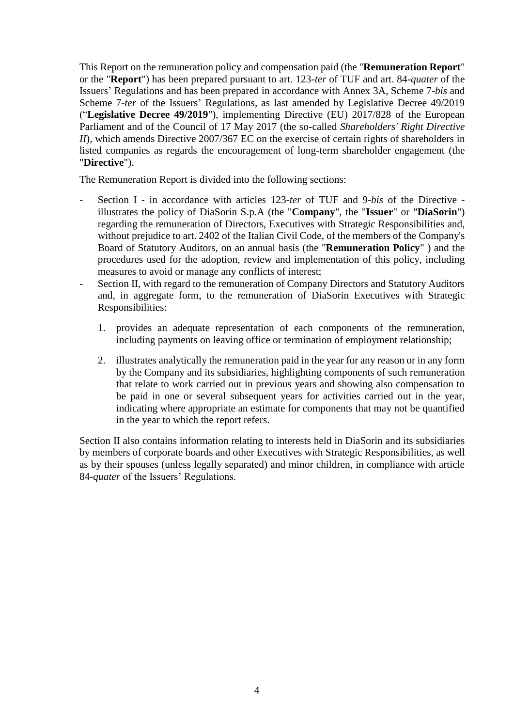This Report on the remuneration policy and compensation paid (the "**Remuneration Report**" or the "**Report**") has been prepared pursuant to art. 123-*ter* of TUF and art. 84-*quater* of the Issuers' Regulations and has been prepared in accordance with Annex 3A, Scheme 7-*bis* and Scheme 7-*ter* of the Issuers' Regulations, as last amended by Legislative Decree 49/2019 ("**Legislative Decree 49/2019**"), implementing Directive (EU) 2017/828 of the European Parliament and of the Council of 17 May 2017 (the so-called *Shareholders' Right Directive II*), which amends Directive 2007/367 EC on the exercise of certain rights of shareholders in listed companies as regards the encouragement of long-term shareholder engagement (the "**Directive**").

The Remuneration Report is divided into the following sections:

- Section I in accordance with articles 123-*ter* of TUF and 9-*bis* of the Directive illustrates the policy of DiaSorin S.p.A (the "**Company**", the "**Issuer**" or "**DiaSorin**") regarding the remuneration of Directors, Executives with Strategic Responsibilities and, without prejudice to art. 2402 of the Italian Civil Code, of the members of the Company's Board of Statutory Auditors, on an annual basis (the "**Remuneration Policy**" ) and the procedures used for the adoption, review and implementation of this policy, including measures to avoid or manage any conflicts of interest;
- Section II, with regard to the remuneration of Company Directors and Statutory Auditors and, in aggregate form, to the remuneration of DiaSorin Executives with Strategic Responsibilities:
	- 1. provides an adequate representation of each components of the remuneration, including payments on leaving office or termination of employment relationship;
	- 2. illustrates analytically the remuneration paid in the year for any reason or in any form by the Company and its subsidiaries, highlighting components of such remuneration that relate to work carried out in previous years and showing also compensation to be paid in one or several subsequent years for activities carried out in the year, indicating where appropriate an estimate for components that may not be quantified in the year to which the report refers.

Section II also contains information relating to interests held in DiaSorin and its subsidiaries by members of corporate boards and other Executives with Strategic Responsibilities, as well as by their spouses (unless legally separated) and minor children, in compliance with article 84-*quater* of the Issuers' Regulations.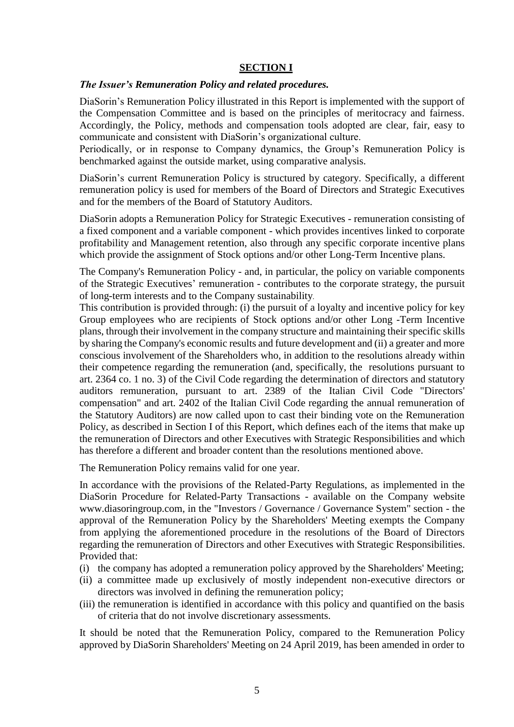### **SECTION I**

#### *The Issuer's Remuneration Policy and related procedures.*

DiaSorin's Remuneration Policy illustrated in this Report is implemented with the support of the Compensation Committee and is based on the principles of meritocracy and fairness. Accordingly, the Policy, methods and compensation tools adopted are clear, fair, easy to communicate and consistent with DiaSorin's organizational culture.

Periodically, or in response to Company dynamics, the Group's Remuneration Policy is benchmarked against the outside market, using comparative analysis.

DiaSorin's current Remuneration Policy is structured by category. Specifically, a different remuneration policy is used for members of the Board of Directors and Strategic Executives and for the members of the Board of Statutory Auditors.

DiaSorin adopts a Remuneration Policy for Strategic Executives - remuneration consisting of a fixed component and a variable component - which provides incentives linked to corporate profitability and Management retention, also through any specific corporate incentive plans which provide the assignment of Stock options and/or other Long-Term Incentive plans.

The Company's Remuneration Policy - and, in particular, the policy on variable components of the Strategic Executives' remuneration - contributes to the corporate strategy, the pursuit of long-term interests and to the Company sustainability.

This contribution is provided through: (i) the pursuit of a loyalty and incentive policy for key Group employees who are recipients of Stock options and/or other Long -Term Incentive plans, through their involvement in the company structure and maintaining their specific skills by sharing the Company's economic results and future development and (ii) a greater and more conscious involvement of the Shareholders who, in addition to the resolutions already within their competence regarding the remuneration (and, specifically, the resolutions pursuant to art. 2364 co. 1 no. 3) of the Civil Code regarding the determination of directors and statutory auditors remuneration, pursuant to art. 2389 of the Italian Civil Code "Directors' compensation" and art. 2402 of the Italian Civil Code regarding the annual remuneration of the Statutory Auditors) are now called upon to cast their binding vote on the Remuneration Policy, as described in Section I of this Report, which defines each of the items that make up the remuneration of Directors and other Executives with Strategic Responsibilities and which has therefore a different and broader content than the resolutions mentioned above.

The Remuneration Policy remains valid for one year.

In accordance with the provisions of the Related-Party Regulations, as implemented in the DiaSorin Procedure for Related-Party Transactions - available on the Company website [www.diasoringroup.com,](http://www.diasorin.com/) in the "Investors / Governance / Governance System" section - the approval of the Remuneration Policy by the Shareholders' Meeting exempts the Company from applying the aforementioned procedure in the resolutions of the Board of Directors regarding the remuneration of Directors and other Executives with Strategic Responsibilities. Provided that:

- (i) the company has adopted a remuneration policy approved by the Shareholders' Meeting;
- (ii) a committee made up exclusively of mostly independent non-executive directors or directors was involved in defining the remuneration policy;
- (iii) the remuneration is identified in accordance with this policy and quantified on the basis of criteria that do not involve discretionary assessments.

It should be noted that the Remuneration Policy, compared to the Remuneration Policy approved by DiaSorin Shareholders' Meeting on 24 April 2019, has been amended in order to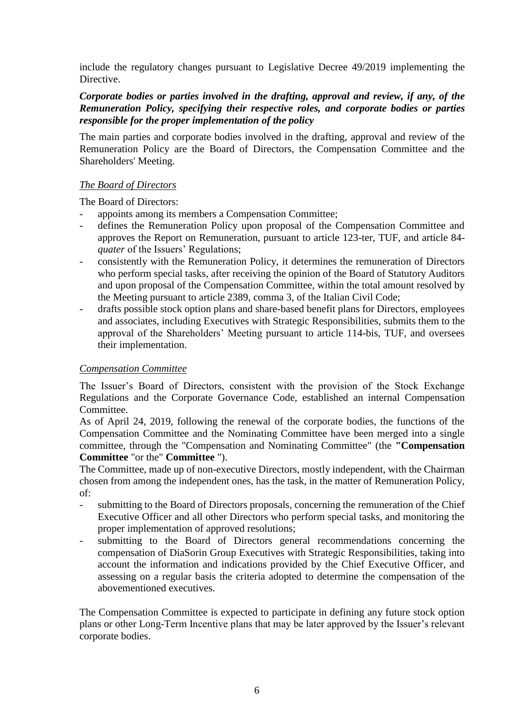include the regulatory changes pursuant to Legislative Decree 49/2019 implementing the Directive.

# *Corporate bodies or parties involved in the drafting, approval and review, if any, of the Remuneration Policy, specifying their respective roles, and corporate bodies or parties responsible for the proper implementation of the policy*

The main parties and corporate bodies involved in the drafting, approval and review of the Remuneration Policy are the Board of Directors, the Compensation Committee and the Shareholders' Meeting.

# *The Board of Directors*

The Board of Directors:

- appoints among its members a Compensation Committee;
- defines the Remuneration Policy upon proposal of the Compensation Committee and approves the Report on Remuneration, pursuant to article 123-ter, TUF, and article 84 *quater* of the Issuers' Regulations;
- consistently with the Remuneration Policy, it determines the remuneration of Directors who perform special tasks, after receiving the opinion of the Board of Statutory Auditors and upon proposal of the Compensation Committee, within the total amount resolved by the Meeting pursuant to article 2389, comma 3, of the Italian Civil Code;
- drafts possible stock option plans and share-based benefit plans for Directors, employees and associates, including Executives with Strategic Responsibilities, submits them to the approval of the Shareholders' Meeting pursuant to article 114-bis, TUF, and oversees their implementation.

# *Compensation Committee*

The Issuer's Board of Directors, consistent with the provision of the Stock Exchange Regulations and the Corporate Governance Code, established an internal Compensation Committee.

As of April 24, 2019, following the renewal of the corporate bodies, the functions of the Compensation Committee and the Nominating Committee have been merged into a single committee, through the "Compensation and Nominating Committee" (the **"Compensation Committee** "or the" **Committee** ").

The Committee, made up of non-executive Directors, mostly independent, with the Chairman chosen from among the independent ones, has the task, in the matter of Remuneration Policy, of:

- submitting to the Board of Directors proposals, concerning the remuneration of the Chief Executive Officer and all other Directors who perform special tasks, and monitoring the proper implementation of approved resolutions;
- submitting to the Board of Directors general recommendations concerning the compensation of DiaSorin Group Executives with Strategic Responsibilities, taking into account the information and indications provided by the Chief Executive Officer, and assessing on a regular basis the criteria adopted to determine the compensation of the abovementioned executives.

The Compensation Committee is expected to participate in defining any future stock option plans or other Long-Term Incentive plans that may be later approved by the Issuer's relevant corporate bodies.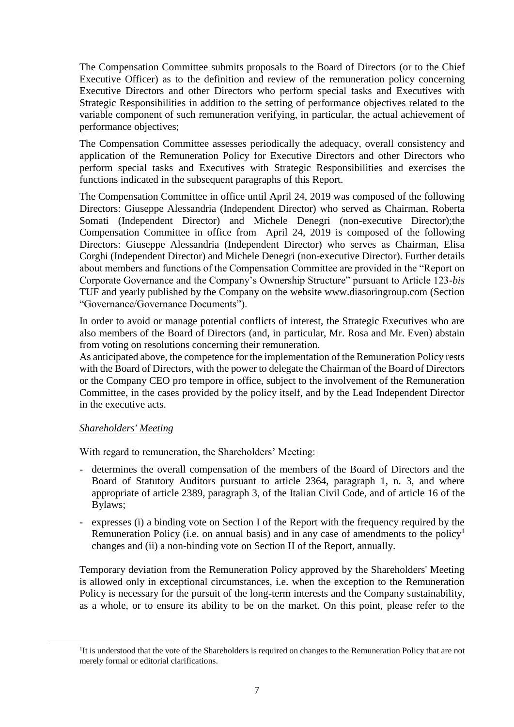The Compensation Committee submits proposals to the Board of Directors (or to the Chief Executive Officer) as to the definition and review of the remuneration policy concerning Executive Directors and other Directors who perform special tasks and Executives with Strategic Responsibilities in addition to the setting of performance objectives related to the variable component of such remuneration verifying, in particular, the actual achievement of performance objectives;

The Compensation Committee assesses periodically the adequacy, overall consistency and application of the Remuneration Policy for Executive Directors and other Directors who perform special tasks and Executives with Strategic Responsibilities and exercises the functions indicated in the subsequent paragraphs of this Report.

The Compensation Committee in office until April 24, 2019 was composed of the following Directors: Giuseppe Alessandria (Independent Director) who served as Chairman, Roberta Somati (Independent Director) and Michele Denegri (non-executive Director);the Compensation Committee in office from April 24, 2019 is composed of the following Directors: Giuseppe Alessandria (Independent Director) who serves as Chairman, Elisa Corghi (Independent Director) and Michele Denegri (non-executive Director). Further details about members and functions of the Compensation Committee are provided in the "Report on Corporate Governance and the Company's Ownership Structure" pursuant to Article 123-*bis*  TUF and yearly published by the Company on the website www.diasoringroup.com (Section "Governance/Governance Documents").

In order to avoid or manage potential conflicts of interest, the Strategic Executives who are also members of the Board of Directors (and, in particular, Mr. Rosa and Mr. Even) abstain from voting on resolutions concerning their remuneration.

As anticipated above, the competence for the implementation of the Remuneration Policy rests with the Board of Directors, with the power to delegate the Chairman of the Board of Directors or the Company CEO pro tempore in office, subject to the involvement of the Remuneration Committee, in the cases provided by the policy itself, and by the Lead Independent Director in the executive acts.

### *Shareholders' Meeting*

1

With regard to remuneration, the Shareholders' Meeting:

- determines the overall compensation of the members of the Board of Directors and the Board of Statutory Auditors pursuant to article 2364, paragraph 1, n. 3, and where appropriate of article 2389, paragraph 3, of the Italian Civil Code, and of article 16 of the Bylaws;
- expresses (i) a binding vote on Section I of the Report with the frequency required by the Remuneration Policy (i.e. on annual basis) and in any case of amendments to the policy<sup>1</sup> changes and (ii) a non-binding vote on Section II of the Report, annually.

Temporary deviation from the Remuneration Policy approved by the Shareholders' Meeting is allowed only in exceptional circumstances, i.e. when the exception to the Remuneration Policy is necessary for the pursuit of the long-term interests and the Company sustainability, as a whole, or to ensure its ability to be on the market. On this point, please refer to the

<sup>&</sup>lt;sup>1</sup>It is understood that the vote of the Shareholders is required on changes to the Remuneration Policy that are not merely formal or editorial clarifications.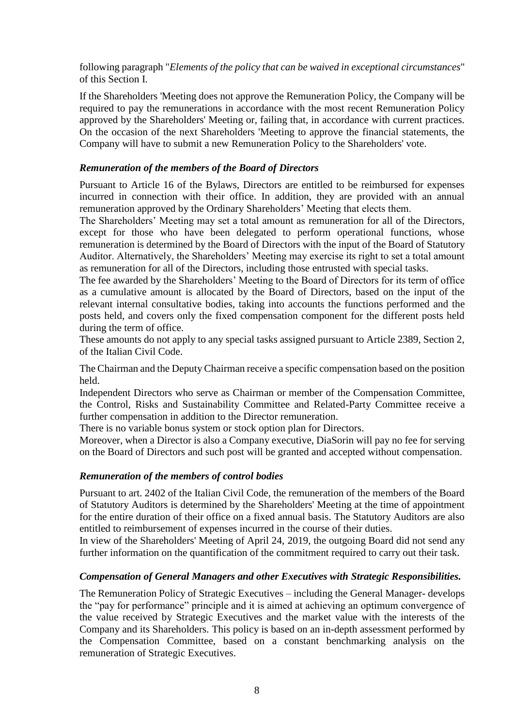following paragraph "*Elements of the policy that can be waived in exceptional circumstances*" of this Section I.

If the Shareholders 'Meeting does not approve the Remuneration Policy, the Company will be required to pay the remunerations in accordance with the most recent Remuneration Policy approved by the Shareholders' Meeting or, failing that, in accordance with current practices. On the occasion of the next Shareholders 'Meeting to approve the financial statements, the Company will have to submit a new Remuneration Policy to the Shareholders' vote.

## *Remuneration of the members of the Board of Directors*

Pursuant to Article 16 of the Bylaws, Directors are entitled to be reimbursed for expenses incurred in connection with their office. In addition, they are provided with an annual remuneration approved by the Ordinary Shareholders' Meeting that elects them.

The Shareholders' Meeting may set a total amount as remuneration for all of the Directors, except for those who have been delegated to perform operational functions, whose remuneration is determined by the Board of Directors with the input of the Board of Statutory Auditor. Alternatively, the Shareholders' Meeting may exercise its right to set a total amount as remuneration for all of the Directors, including those entrusted with special tasks.

The fee awarded by the Shareholders' Meeting to the Board of Directors for its term of office as a cumulative amount is allocated by the Board of Directors, based on the input of the relevant internal consultative bodies, taking into accounts the functions performed and the posts held, and covers only the fixed compensation component for the different posts held during the term of office.

These amounts do not apply to any special tasks assigned pursuant to Article 2389, Section 2, of the Italian Civil Code.

The Chairman and the Deputy Chairman receive a specific compensation based on the position held.

Independent Directors who serve as Chairman or member of the Compensation Committee, the Control, Risks and Sustainability Committee and Related-Party Committee receive a further compensation in addition to the Director remuneration.

There is no variable bonus system or stock option plan for Directors.

Moreover, when a Director is also a Company executive, DiaSorin will pay no fee for serving on the Board of Directors and such post will be granted and accepted without compensation.

# *Remuneration of the members of control bodies*

Pursuant to art. 2402 of the Italian Civil Code, the remuneration of the members of the Board of Statutory Auditors is determined by the Shareholders' Meeting at the time of appointment for the entire duration of their office on a fixed annual basis. The Statutory Auditors are also entitled to reimbursement of expenses incurred in the course of their duties.

In view of the Shareholders' Meeting of April 24, 2019, the outgoing Board did not send any further information on the quantification of the commitment required to carry out their task.

# *Compensation of General Managers and other Executives with Strategic Responsibilities.*

The Remuneration Policy of Strategic Executives – including the General Manager- develops the "pay for performance" principle and it is aimed at achieving an optimum convergence of the value received by Strategic Executives and the market value with the interests of the Company and its Shareholders. This policy is based on an in-depth assessment performed by the Compensation Committee, based on a constant benchmarking analysis on the remuneration of Strategic Executives.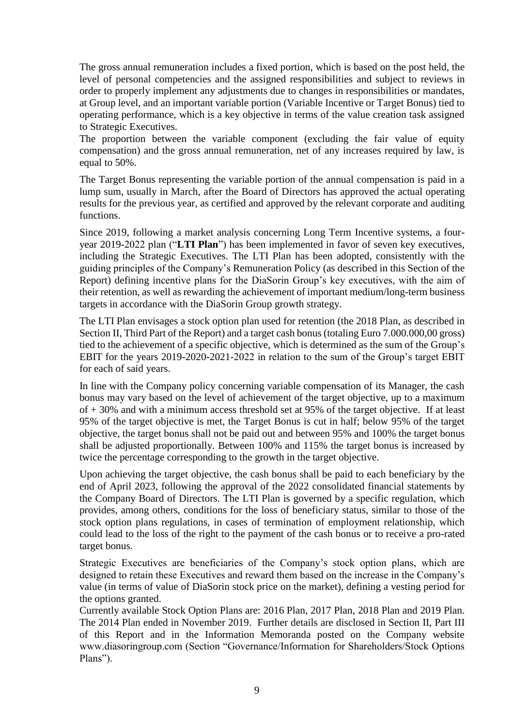The gross annual remuneration includes a fixed portion, which is based on the post held, the level of personal competencies and the assigned responsibilities and subject to reviews in order to properly implement any adjustments due to changes in responsibilities or mandates, at Group level, and an important variable portion (Variable Incentive or Target Bonus) tied to operating performance, which is a key objective in terms of the value creation task assigned to Strategic Executives.

The proportion between the variable component (excluding the fair value of equity compensation) and the gross annual remuneration, net of any increases required by law, is equal to 50%.

The Target Bonus representing the variable portion of the annual compensation is paid in a lump sum, usually in March, after the Board of Directors has approved the actual operating results for the previous year, as certified and approved by the relevant corporate and auditing functions.

Since 2019, following a market analysis concerning Long Term Incentive systems, a fouryear 2019-2022 plan ("**LTI Plan**") has been implemented in favor of seven key executives, including the Strategic Executives. The LTI Plan has been adopted, consistently with the guiding principles of the Company's Remuneration Policy (as described in this Section of the Report) defining incentive plans for the DiaSorin Group's key executives, with the aim of their retention, as well as rewarding the achievement of important medium/long-term business targets in accordance with the DiaSorin Group growth strategy.

The LTI Plan envisages a stock option plan used for retention (the 2018 Plan, as described in Section II, Third Part of the Report) and a target cash bonus (totaling Euro 7.000.000,00 gross) tied to the achievement of a specific objective, which is determined as the sum of the Group's EBIT for the years 2019-2020-2021-2022 in relation to the sum of the Group's target EBIT for each of said years.

In line with the Company policy concerning variable compensation of its Manager, the cash bonus may vary based on the level of achievement of the target objective, up to a maximum of + 30% and with a minimum access threshold set at 95% of the target objective. If at least 95% of the target objective is met, the Target Bonus is cut in half; below 95% of the target objective, the target bonus shall not be paid out and between 95% and 100% the target bonus shall be adjusted proportionally. Between 100% and 115% the target bonus is increased by twice the percentage corresponding to the growth in the target objective.

Upon achieving the target objective, the cash bonus shall be paid to each beneficiary by the end of April 2023, following the approval of the 2022 consolidated financial statements by the Company Board of Directors. The LTI Plan is governed by a specific regulation, which provides, among others, conditions for the loss of beneficiary status, similar to those of the stock option plans regulations, in cases of termination of employment relationship, which could lead to the loss of the right to the payment of the cash bonus or to receive a pro-rated target bonus.

Strategic Executives are beneficiaries of the Company's stock option plans, which are designed to retain these Executives and reward them based on the increase in the Company's value (in terms of value of DiaSorin stock price on the market), defining a vesting period for the options granted.

Currently available Stock Option Plans are: 2016 Plan, 2017 Plan, 2018 Plan and 2019 Plan. The 2014 Plan ended in November 2019. Further details are disclosed in Section II, Part III of this Report and in the Information Memoranda posted on the Company website www.diasoringroup.com (Section "Governance/Information for Shareholders/Stock Options Plans").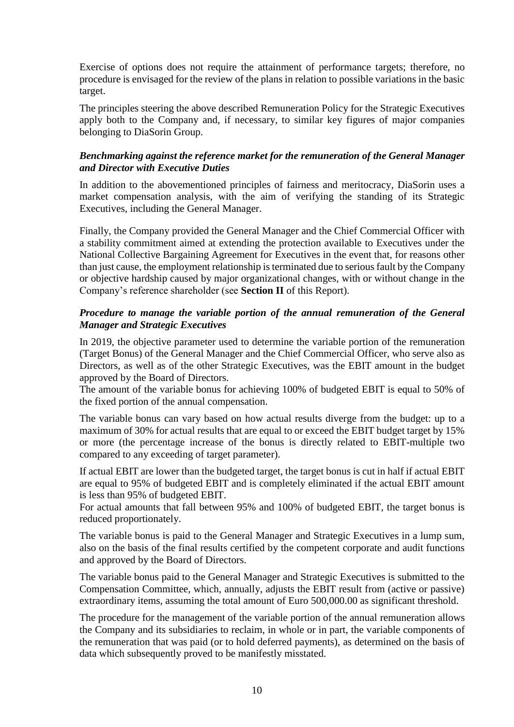Exercise of options does not require the attainment of performance targets; therefore, no procedure is envisaged for the review of the plans in relation to possible variations in the basic target.

The principles steering the above described Remuneration Policy for the Strategic Executives apply both to the Company and, if necessary, to similar key figures of major companies belonging to DiaSorin Group.

# *Benchmarking against the reference market for the remuneration of the General Manager and Director with Executive Duties*

In addition to the abovementioned principles of fairness and meritocracy, DiaSorin uses a market compensation analysis, with the aim of verifying the standing of its Strategic Executives, including the General Manager.

Finally, the Company provided the General Manager and the Chief Commercial Officer with a stability commitment aimed at extending the protection available to Executives under the National Collective Bargaining Agreement for Executives in the event that, for reasons other than just cause, the employment relationship is terminated due to serious fault by the Company or objective hardship caused by major organizational changes, with or without change in the Company's reference shareholder (see **Section II** of this Report).

# *Procedure to manage the variable portion of the annual remuneration of the General Manager and Strategic Executives*

In 2019, the objective parameter used to determine the variable portion of the remuneration (Target Bonus) of the General Manager and the Chief Commercial Officer, who serve also as Directors, as well as of the other Strategic Executives, was the EBIT amount in the budget approved by the Board of Directors.

The amount of the variable bonus for achieving 100% of budgeted EBIT is equal to 50% of the fixed portion of the annual compensation.

The variable bonus can vary based on how actual results diverge from the budget: up to a maximum of 30% for actual results that are equal to or exceed the EBIT budget target by 15% or more (the percentage increase of the bonus is directly related to EBIT-multiple two compared to any exceeding of target parameter).

If actual EBIT are lower than the budgeted target, the target bonus is cut in half if actual EBIT are equal to 95% of budgeted EBIT and is completely eliminated if the actual EBIT amount is less than 95% of budgeted EBIT.

For actual amounts that fall between 95% and 100% of budgeted EBIT, the target bonus is reduced proportionately.

The variable bonus is paid to the General Manager and Strategic Executives in a lump sum, also on the basis of the final results certified by the competent corporate and audit functions and approved by the Board of Directors.

The variable bonus paid to the General Manager and Strategic Executives is submitted to the Compensation Committee, which, annually, adjusts the EBIT result from (active or passive) extraordinary items, assuming the total amount of Euro 500,000.00 as significant threshold.

The procedure for the management of the variable portion of the annual remuneration allows the Company and its subsidiaries to reclaim, in whole or in part, the variable components of the remuneration that was paid (or to hold deferred payments), as determined on the basis of data which subsequently proved to be manifestly misstated.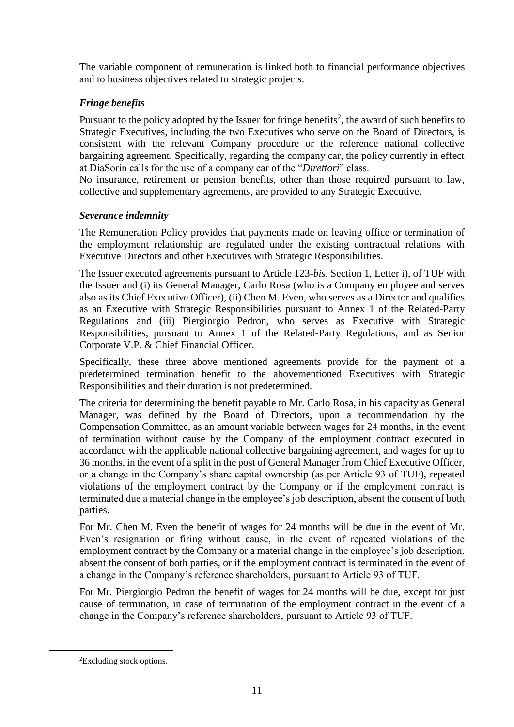The variable component of remuneration is linked both to financial performance objectives and to business objectives related to strategic projects.

# *Fringe benefits*

Pursuant to the policy adopted by the Issuer for fringe benefits<sup>2</sup>, the award of such benefits to Strategic Executives, including the two Executives who serve on the Board of Directors, is consistent with the relevant Company procedure or the reference national collective bargaining agreement. Specifically, regarding the company car, the policy currently in effect at DiaSorin calls for the use of a company car of the "*Direttori*" class.

No insurance, retirement or pension benefits, other than those required pursuant to law, collective and supplementary agreements, are provided to any Strategic Executive.

# *Severance indemnity*

The Remuneration Policy provides that payments made on leaving office or termination of the employment relationship are regulated under the existing contractual relations with Executive Directors and other Executives with Strategic Responsibilities.

The Issuer executed agreements pursuant to Article 123-*bis*, Section 1, Letter i), of TUF with the Issuer and (i) its General Manager, Carlo Rosa (who is a Company employee and serves also as its Chief Executive Officer), (ii) Chen M. Even, who serves as a Director and qualifies as an Executive with Strategic Responsibilities pursuant to Annex 1 of the Related-Party Regulations and (iii) Piergiorgio Pedron, who serves as Executive with Strategic Responsibilities, pursuant to Annex 1 of the Related-Party Regulations, and as Senior Corporate V.P. & Chief Financial Officer.

Specifically, these three above mentioned agreements provide for the payment of a predetermined termination benefit to the abovementioned Executives with Strategic Responsibilities and their duration is not predetermined.

The criteria for determining the benefit payable to Mr. Carlo Rosa, in his capacity as General Manager, was defined by the Board of Directors, upon a recommendation by the Compensation Committee, as an amount variable between wages for 24 months, in the event of termination without cause by the Company of the employment contract executed in accordance with the applicable national collective bargaining agreement, and wages for up to 36 months, in the event of a split in the post of General Manager from Chief Executive Officer, or a change in the Company's share capital ownership (as per Article 93 of TUF), repeated violations of the employment contract by the Company or if the employment contract is terminated due a material change in the employee's job description, absent the consent of both parties.

For Mr. Chen M. Even the benefit of wages for 24 months will be due in the event of Mr. Even's resignation or firing without cause, in the event of repeated violations of the employment contract by the Company or a material change in the employee's job description, absent the consent of both parties, or if the employment contract is terminated in the event of a change in the Company's reference shareholders, pursuant to Article 93 of TUF.

For Mr. Piergiorgio Pedron the benefit of wages for 24 months will be due, except for just cause of termination, in case of termination of the employment contract in the event of a change in the Company's reference shareholders, pursuant to Article 93 of TUF.

1

<sup>2</sup>Excluding stock options.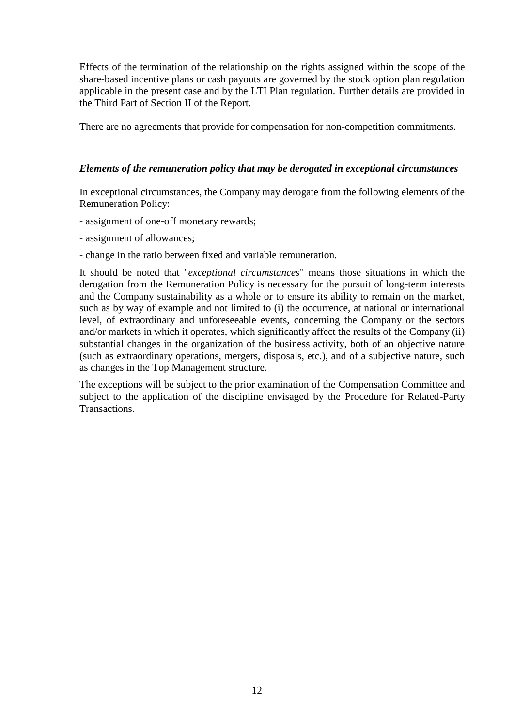Effects of the termination of the relationship on the rights assigned within the scope of the share-based incentive plans or cash payouts are governed by the stock option plan regulation applicable in the present case and by the LTI Plan regulation. Further details are provided in the Third Part of Section II of the Report.

There are no agreements that provide for compensation for non-competition commitments.

## *Elements of the remuneration policy that may be derogated in exceptional circumstances*

In exceptional circumstances, the Company may derogate from the following elements of the Remuneration Policy:

- assignment of one-off monetary rewards;
- assignment of allowances;
- change in the ratio between fixed and variable remuneration.

It should be noted that "*exceptional circumstances*" means those situations in which the derogation from the Remuneration Policy is necessary for the pursuit of long-term interests and the Company sustainability as a whole or to ensure its ability to remain on the market, such as by way of example and not limited to (i) the occurrence, at national or international level, of extraordinary and unforeseeable events, concerning the Company or the sectors and/or markets in which it operates, which significantly affect the results of the Company (ii) substantial changes in the organization of the business activity, both of an objective nature (such as extraordinary operations, mergers, disposals, etc.), and of a subjective nature, such as changes in the Top Management structure.

The exceptions will be subject to the prior examination of the Compensation Committee and subject to the application of the discipline envisaged by the Procedure for Related-Party Transactions.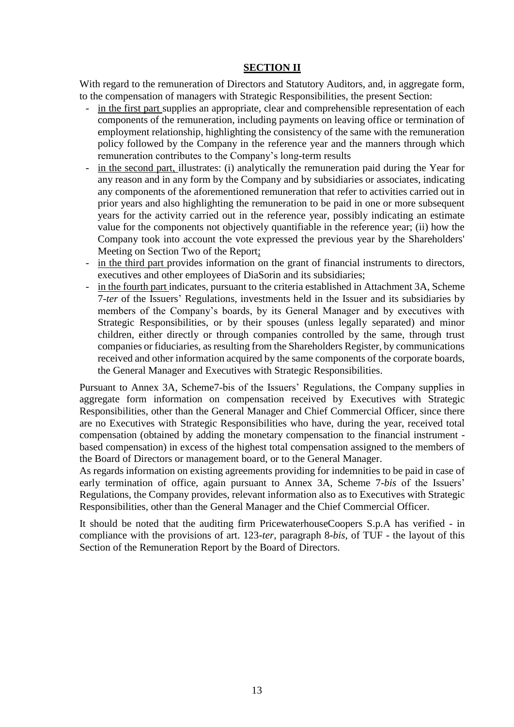# **SECTION II**

With regard to the remuneration of Directors and Statutory Auditors, and, in aggregate form, to the compensation of managers with Strategic Responsibilities, the present Section:

- in the first part supplies an appropriate, clear and comprehensible representation of each components of the remuneration, including payments on leaving office or termination of employment relationship, highlighting the consistency of the same with the remuneration policy followed by the Company in the reference year and the manners through which remuneration contributes to the Company's long-term results
- in the second part, illustrates: (i) analytically the remuneration paid during the Year for any reason and in any form by the Company and by subsidiaries or associates, indicating any components of the aforementioned remuneration that refer to activities carried out in prior years and also highlighting the remuneration to be paid in one or more subsequent years for the activity carried out in the reference year, possibly indicating an estimate value for the components not objectively quantifiable in the reference year; (ii) how the Company took into account the vote expressed the previous year by the Shareholders' Meeting on Section Two of the Report;
- in the third part provides information on the grant of financial instruments to directors, executives and other employees of DiaSorin and its subsidiaries;
- in the fourth part indicates, pursuant to the criteria established in Attachment 3A, Scheme 7-*ter* of the Issuers' Regulations, investments held in the Issuer and its subsidiaries by members of the Company's boards, by its General Manager and by executives with Strategic Responsibilities, or by their spouses (unless legally separated) and minor children, either directly or through companies controlled by the same, through trust companies or fiduciaries, as resulting from the Shareholders Register, by communications received and other information acquired by the same components of the corporate boards, the General Manager and Executives with Strategic Responsibilities.

Pursuant to Annex 3A, Scheme7-bis of the Issuers' Regulations, the Company supplies in aggregate form information on compensation received by Executives with Strategic Responsibilities, other than the General Manager and Chief Commercial Officer, since there are no Executives with Strategic Responsibilities who have, during the year, received total compensation (obtained by adding the monetary compensation to the financial instrument based compensation) in excess of the highest total compensation assigned to the members of the Board of Directors or management board, or to the General Manager.

As regards information on existing agreements providing for indemnities to be paid in case of early termination of office, again pursuant to Annex 3A, Scheme 7-*bis* of the Issuers' Regulations, the Company provides, relevant information also as to Executives with Strategic Responsibilities, other than the General Manager and the Chief Commercial Officer.

It should be noted that the auditing firm PricewaterhouseCoopers S.p.A has verified - in compliance with the provisions of art. 123-*ter*[, paragraph 8-](http://www.pwc.com/)*bis*, of TUF - the layout of this Section of the Remuneration Report by the Board of Directors.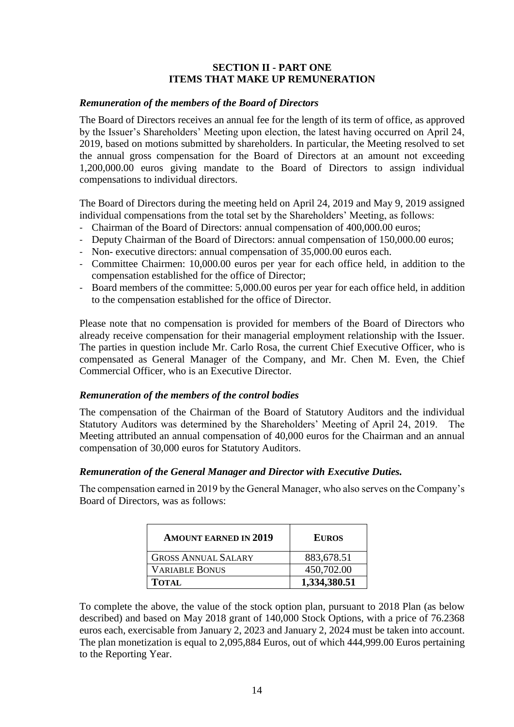# **SECTION II - PART ONE ITEMS THAT MAKE UP REMUNERATION**

# *Remuneration of the members of the Board of Directors*

The Board of Directors receives an annual fee for the length of its term of office, as approved by the Issuer's Shareholders' Meeting upon election, the latest having occurred on April 24, 2019, based on motions submitted by shareholders. In particular, the Meeting resolved to set the annual gross compensation for the Board of Directors at an amount not exceeding 1,200,000.00 euros giving mandate to the Board of Directors to assign individual compensations to individual directors.

The Board of Directors during the meeting held on April 24, 2019 and May 9, 2019 assigned individual compensations from the total set by the Shareholders' Meeting, as follows:

- ‐ Chairman of the Board of Directors: annual compensation of 400,000.00 euros;
- Deputy Chairman of the Board of Directors: annual compensation of 150,000.00 euros;
- ‐ Non- executive directors: annual compensation of 35,000.00 euros each.
- ‐ Committee Chairmen: 10,000.00 euros per year for each office held, in addition to the compensation established for the office of Director;
- ‐ Board members of the committee: 5,000.00 euros per year for each office held, in addition to the compensation established for the office of Director.

Please note that no compensation is provided for members of the Board of Directors who already receive compensation for their managerial employment relationship with the Issuer. The parties in question include Mr. Carlo Rosa, the current Chief Executive Officer, who is compensated as General Manager of the Company, and Mr. Chen M. Even, the Chief Commercial Officer, who is an Executive Director.

### *Remuneration of the members of the control bodies*

The compensation of the Chairman of the Board of Statutory Auditors and the individual Statutory Auditors was determined by the Shareholders' Meeting of April 24, 2019. The Meeting attributed an annual compensation of 40,000 euros for the Chairman and an annual compensation of 30,000 euros for Statutory Auditors.

# *Remuneration of the General Manager and Director with Executive Duties.*

The compensation earned in 2019 by the General Manager, who also serves on the Company's Board of Directors, was as follows:

| <b>AMOUNT EARNED IN 2019</b> | <b>EUROS</b> |
|------------------------------|--------------|
| <b>GROSS ANNUAL SALARY</b>   | 883,678.51   |
| <b>VARIABLE BONUS</b>        | 450,702.00   |
| <b>TOTAL</b>                 | 1,334,380.51 |

To complete the above, the value of the stock option plan, pursuant to 2018 Plan (as below described) and based on May 2018 grant of 140,000 Stock Options, with a price of 76.2368 euros each, exercisable from January 2, 2023 and January 2, 2024 must be taken into account. The plan monetization is equal to 2,095,884 Euros, out of which 444,999.00 Euros pertaining to the Reporting Year.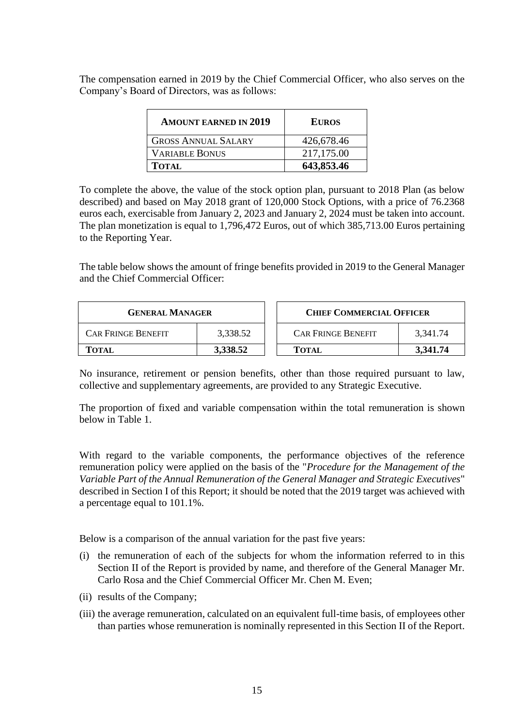The compensation earned in 2019 by the Chief Commercial Officer, who also serves on the Company's Board of Directors, was as follows:

| <b>AMOUNT EARNED IN 2019</b> | <b>EUROS</b> |
|------------------------------|--------------|
| <b>GROSS ANNUAL SALARY</b>   | 426,678.46   |
| <b>VARIABLE BONUS</b>        | 217,175.00   |
| <b>TOTAL</b>                 | 643,853.46   |

To complete the above, the value of the stock option plan, pursuant to 2018 Plan (as below described) and based on May 2018 grant of 120,000 Stock Options, with a price of 76.2368 euros each, exercisable from January 2, 2023 and January 2, 2024 must be taken into account. The plan monetization is equal to 1,796,472 Euros, out of which 385,713.00 Euros pertaining to the Reporting Year.

The table below shows the amount of fringe benefits provided in 2019 to the General Manager and the Chief Commercial Officer:

| <b>GENERAL MANAGER</b>    |          | <b>CHIEF COMMERCIAL OFFICER</b> |          |
|---------------------------|----------|---------------------------------|----------|
| <b>CAR FRINGE BENEFIT</b> | 3,338.52 | <b>CAR FRINGE BENEFIT</b>       | 3.341.74 |
| TOTAL                     | 3,338.52 | <b>TOTAL</b>                    | 3,341.74 |

No insurance, retirement or pension benefits, other than those required pursuant to law, collective and supplementary agreements, are provided to any Strategic Executive.

The proportion of fixed and variable compensation within the total remuneration is shown below in Table 1.

With regard to the variable components, the performance objectives of the reference remuneration policy were applied on the basis of the "*Procedure for the Management of the Variable Part of the Annual Remuneration of the General Manager and Strategic Executives*" described in Section I of this Report; it should be noted that the 2019 target was achieved with a percentage equal to 101.1%.

Below is a comparison of the annual variation for the past five years:

- (i) the remuneration of each of the subjects for whom the information referred to in this Section II of the Report is provided by name, and therefore of the General Manager Mr. Carlo Rosa and the Chief Commercial Officer Mr. Chen M. Even;
- (ii) results of the Company;
- (iii) the average remuneration, calculated on an equivalent full-time basis, of employees other than parties whose remuneration is nominally represented in this Section II of the Report.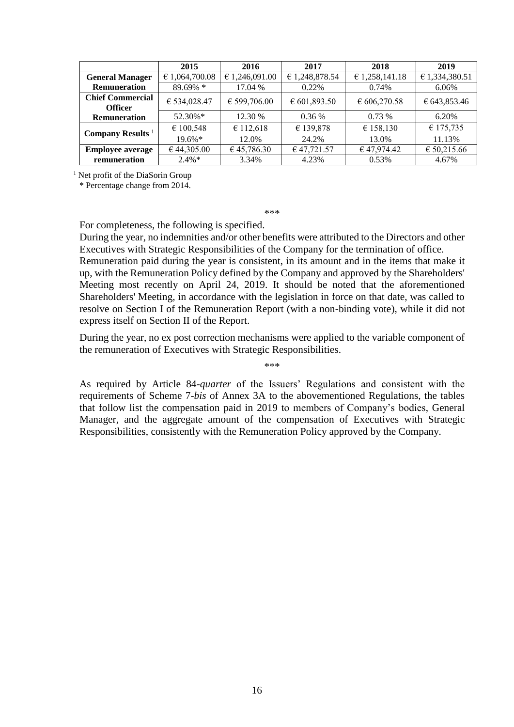|                                           | 2015           | 2016           | 2017                  | 2018                              | 2019           |
|-------------------------------------------|----------------|----------------|-----------------------|-----------------------------------|----------------|
| <b>General Manager</b>                    | € 1,064,700.08 | € 1,246,091.00 | € 1,248,878.54        | € 1,258,141.18                    | € 1,334,380.51 |
| <b>Remuneration</b>                       | 89.69% *       | 17.04 %        | 0.22%                 | 0.74%                             | 6.06%          |
| <b>Chief Commercial</b><br><b>Officer</b> | € 534,028.47   | € 599,706.00   | $\epsilon$ 601,893.50 | $\text{\textsterling} 606,270.58$ | € 643,853.46   |
| <b>Remuneration</b>                       | 52.30%*        | 12.30 %        | $0.36\%$              | $0.73\%$                          | 6.20%          |
| Company Results <sup>1</sup>              | € 100,548      | € 112,618      | € 139,878             | € 158,130                         | € 175,735      |
|                                           | $19.6\%*$      | 12.0%          | 24.2%                 | 13.0%                             | 11.13%         |
| <b>Employee average</b>                   | € 44,305.00    | €45,786.30     | € 47,721.57           | € 47,974.42                       | € 50,215.66    |
| remuneration                              | $2.4\%*$       | 3.34%          | 4.23%                 | 0.53%                             | 4.67%          |

<sup>1</sup> Net profit of the DiaSorin Group

\* Percentage change from 2014.

\*\*\*

For completeness, the following is specified.

During the year, no indemnities and/or other benefits were attributed to the Directors and other Executives with Strategic Responsibilities of the Company for the termination of office.

Remuneration paid during the year is consistent, in its amount and in the items that make it up, with the Remuneration Policy defined by the Company and approved by the Shareholders' Meeting most recently on April 24, 2019. It should be noted that the aforementioned Shareholders' Meeting, in accordance with the legislation in force on that date, was called to resolve on Section I of the Remuneration Report (with a non-binding vote), while it did not express itself on Section II of the Report.

During the year, no ex post correction mechanisms were applied to the variable component of the remuneration of Executives with Strategic Responsibilities.

\*\*\*

As required by Article 84-*quarter* of the Issuers' Regulations and consistent with the requirements of Scheme 7-*bis* of Annex 3A to the abovementioned Regulations, the tables that follow list the compensation paid in 2019 to members of Company's bodies, General Manager, and the aggregate amount of the compensation of Executives with Strategic Responsibilities, consistently with the Remuneration Policy approved by the Company.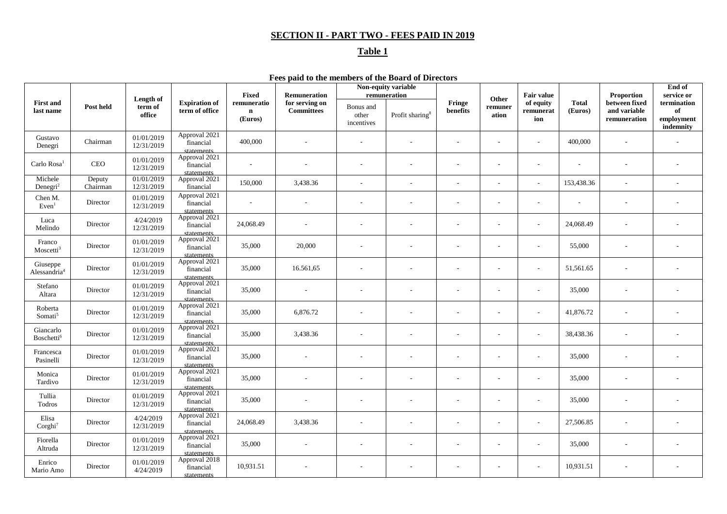# **SECTION II - PART TWO - FEES PAID IN 2019**

# **Table 1**

**Fees paid to the members of the Board of Directors**

|                                      |                    |                                |                                          | Fixed                                 | Remuneration                        |                                  | Non-equity variable<br>remuneration |                          |                           | <b>Fair value</b>             |                         | Proportion                                    | End of<br>service or                         |
|--------------------------------------|--------------------|--------------------------------|------------------------------------------|---------------------------------------|-------------------------------------|----------------------------------|-------------------------------------|--------------------------|---------------------------|-------------------------------|-------------------------|-----------------------------------------------|----------------------------------------------|
| <b>First and</b><br>last name        | Post held          | Length of<br>term of<br>office | <b>Expiration of</b><br>term of office   | remuneratio<br>$\mathbf n$<br>(Euros) | for serving on<br><b>Committees</b> | Bonus and<br>other<br>incentives | Profit sharing <sup>8</sup>         | Fringe<br>benefits       | Other<br>remuner<br>ation | of equity<br>remunerat<br>ion | <b>Total</b><br>(Euros) | between fixed<br>and variable<br>remuneration | termination<br>of<br>employment<br>indemnity |
| Gustavo<br>Denegri                   | ${\it Chairman}$   | 01/01/2019<br>12/31/2019       | Approval 2021<br>financial<br>statements | 400,000                               |                                     |                                  |                                     | $\overline{\phantom{a}}$ | ٠                         |                               | 400,000                 |                                               |                                              |
| Carlo Rosa <sup>1</sup>              | <b>CEO</b>         | 01/01/2019<br>12/31/2019       | Approval 2021<br>financial<br>statements | $\sim$                                |                                     |                                  |                                     | $\overline{\phantom{a}}$ | ÷,                        | $\sim$                        |                         |                                               |                                              |
| Michele<br>Denegri <sup>2</sup>      | Deputy<br>Chairman | 01/01/2019<br>12/31/2019       | Approval 2021<br>financial               | 150,000                               | 3,438.36                            |                                  | ÷                                   | ÷                        | ٠                         | $\sim$                        | 153,438.36              | L.                                            |                                              |
| Chen M.<br>Even <sup>1</sup>         | Director           | 01/01/2019<br>12/31/2019       | Approval 2021<br>financial<br>statements | $\overline{\phantom{a}}$              |                                     |                                  |                                     | $\overline{\phantom{a}}$ | ÷,                        |                               |                         |                                               |                                              |
| Luca<br>Melindo                      | Director           | 4/24/2019<br>12/31/2019        | Approval 2021<br>financial<br>statements | 24,068.49                             |                                     |                                  |                                     | $\overline{\phantom{a}}$ | $\overline{\phantom{a}}$  | $\sim$                        | 24,068.49               | $\overline{\phantom{a}}$                      |                                              |
| Franco<br>Moscetti <sup>3</sup>      | Director           | 01/01/2019<br>12/31/2019       | Approval 2021<br>financial<br>statements | 35,000                                | 20,000                              | $\overline{a}$                   | $\overline{\phantom{a}}$            | $\overline{\phantom{a}}$ | $\overline{\phantom{a}}$  | $\sim$                        | 55,000                  | $\overline{\phantom{a}}$                      |                                              |
| Giuseppe<br>Alessandria <sup>4</sup> | Director           | 01/01/2019<br>12/31/2019       | Approval 2021<br>financial<br>statements | 35,000                                | 16.561,65                           |                                  |                                     |                          |                           | $\sim$                        | 51,561.65               |                                               |                                              |
| Stefano<br>Altara                    | Director           | 01/01/2019<br>12/31/2019       | Approval 2021<br>financial<br>statements | 35,000                                |                                     |                                  |                                     |                          |                           |                               | 35,000                  |                                               |                                              |
| Roberta<br>Somati <sup>5</sup>       | Director           | 01/01/2019<br>12/31/2019       | Approval 2021<br>financial<br>statements | 35,000                                | 6,876.72                            |                                  |                                     |                          |                           | $\sim$                        | 41,876.72               |                                               |                                              |
| Giancarlo<br>Boschetti <sup>6</sup>  | Director           | 01/01/2019<br>12/31/2019       | Approval 2021<br>financial<br>statements | 35,000                                | 3,438.36                            |                                  |                                     |                          | ä,                        | $\overline{\phantom{a}}$      | 38,438.36               |                                               |                                              |
| Francesca<br>Pasinelli               | Director           | 01/01/2019<br>12/31/2019       | Approval 2021<br>financial<br>statements | 35,000                                |                                     |                                  |                                     | ٠                        | $\sim$                    | $\sim$                        | 35,000                  | $\overline{\phantom{a}}$                      |                                              |
| Monica<br>Tardivo                    | Director           | 01/01/2019<br>12/31/2019       | Approval 2021<br>financial<br>statements | 35,000                                |                                     |                                  |                                     | $\overline{\phantom{a}}$ | $\overline{\phantom{a}}$  | $\sim$                        | 35,000                  | $\overline{a}$                                |                                              |
| Tullia<br>Todros                     | Director           | 01/01/2019<br>12/31/2019       | Approval 2021<br>financial<br>statements | 35,000                                |                                     |                                  |                                     | $\overline{\phantom{a}}$ | ä,                        | $\overline{\phantom{a}}$      | 35,000                  |                                               |                                              |
| Elisa<br>Corghi <sup>7</sup>         | Director           | 4/24/2019<br>12/31/2019        | Approval 2021<br>financial<br>statements | 24,068.49                             | 3,438.36                            |                                  |                                     | $\overline{\phantom{a}}$ | ä,                        | $\sim$                        | 27,506.85               |                                               |                                              |
| Fiorella<br>Altruda                  | Director           | 01/01/2019<br>12/31/2019       | Approval 2021<br>financial<br>statements | 35,000                                |                                     |                                  |                                     | $\overline{\phantom{a}}$ | ä,                        | $\sim$                        | 35,000                  |                                               |                                              |
| Enrico<br>Mario Amo                  | Director           | 01/01/2019<br>4/24/2019        | Approval 2018<br>financial<br>statements | 10,931.51                             |                                     |                                  |                                     |                          |                           | $\overline{\phantom{a}}$      | 10,931.51               |                                               |                                              |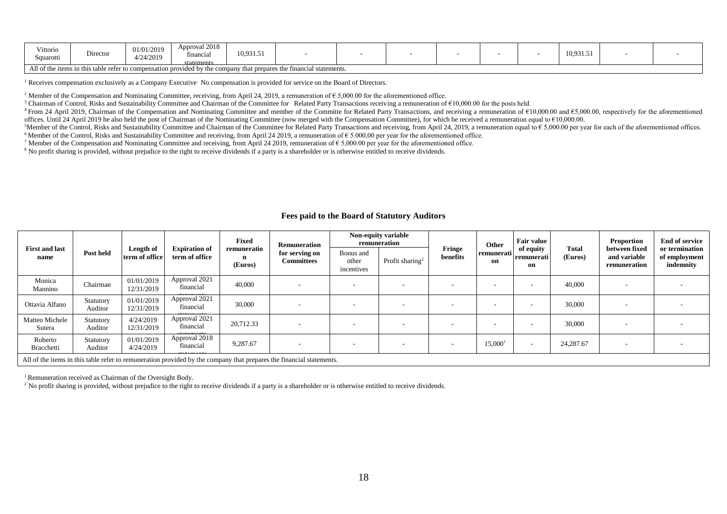| Vittorio<br>Squarotti | Director                                                                                                             | 01/01/2019<br>4/24/2019 | Approval 2018<br>financial<br>statements | 10,931.51 |  |  |  |  |  |  | 10,931.5 |  |  |
|-----------------------|----------------------------------------------------------------------------------------------------------------------|-------------------------|------------------------------------------|-----------|--|--|--|--|--|--|----------|--|--|
|                       | All of the items in this table refer to compensation provided by the company that prepares the financial statements. |                         |                                          |           |  |  |  |  |  |  |          |  |  |

 $<sup>1</sup>$  Receives compensation exclusively as a Company Executive. No compensation is provided for service on the Board of Directors.</sup>

<sup>2</sup> Member of the Compensation and Nominating Committee, receiving, from April 24, 2019, a remuneration of  $\epsilon$  5,000.00 for the aforementioned office.

<sup>3</sup> Chairman of Control, Risks and Sustainability Committee and Chairman of the Committee for Related Party Transactions receiving a remuneration of €10,000.00 for the posts held.

<sup>4</sup> From 24 April 2019, Chairman of the Compensation and Nominating Committee and member of the Committe for Related Party Transactions, and receiving a remuneration of  $610,000.00$  and  $65,000.00$ , respectively for the a offices. Until 24 April 2019 he also held the post of Chairman of the Nominating Committee (now merged with the Compensation Committee), for which he received a remuneration equal to €10,000.00.

<sup>5</sup>Member of the Control, Risks and Sustainability Committee and Chairman of the Committee for Related Party Transactions and receiving, from April 24, 2019, a remuneration equal to  $\epsilon$  5,000.00 per year for each of the 6 Member of the Control, Risks and Sustainability Committee and receiving, from April 24 2019, a remuneration of  $\epsilon$  5.000,00 per year for the aforementioned office.

<sup>7</sup> Member of the Compensation and Nominating Committee and receiving, from April 24 2019, remuneration of  $\epsilon$  5,000.00 per year for the aforementioned office.

<sup>8</sup> No profit sharing is provided, without prejudice to the right to receive dividends if a party is a shareholder or is otherwise entitled to receive dividends.

#### **Fees paid to the Board of Statutory Auditors**

|                               |                                                                                                                      |                             |                                        | Fixed                       | <b>Remuneration</b>                 |                                  | Non-equity variable<br>remuneration |                    | Other               | <b>Fair value</b>             |                  | Proportion                                    | <b>End of service</b><br>or termination |
|-------------------------------|----------------------------------------------------------------------------------------------------------------------|-----------------------------|----------------------------------------|-----------------------------|-------------------------------------|----------------------------------|-------------------------------------|--------------------|---------------------|-------------------------------|------------------|-----------------------------------------------|-----------------------------------------|
| <b>First and last</b><br>name | Post held                                                                                                            | Length of<br>term of office | <b>Expiration of</b><br>term of office | remuneratio<br>n<br>(Euros) | for serving on<br><b>Committees</b> | Bonus and<br>other<br>incentives | Profit sharing <sup>2</sup>         | Fringe<br>benefits | remunerati<br>on    | of equity<br>remunerati<br>on | Total<br>(Euros) | between fixed<br>and variable<br>remuneration | of employment<br>indemnity              |
| Monica<br>Mannino             | Chairman                                                                                                             | 01/01/2019<br>12/31/2019    | Approval 2021<br>financial             | 40,000                      | $\overline{\phantom{a}}$            | $\overline{\phantom{a}}$         |                                     |                    | ۰                   | $\overline{\phantom{a}}$      | 40,000           |                                               |                                         |
| Ottavia Alfano                | Statutory<br>Auditor                                                                                                 | 01/01/2019<br>12/31/2019    | Approval 2021<br>financial             | 30,000                      | $\overline{\phantom{a}}$            | $\overline{\phantom{a}}$         | . .                                 |                    |                     | $\overline{\phantom{a}}$      | 30,000           |                                               |                                         |
| Matteo Michele<br>Sutera      | Statutory<br>Auditor                                                                                                 | 4/24/2019<br>12/31/2019     | Approval 2021<br>financial             | 20,712.33                   | $\overline{\phantom{a}}$            | ۰                                |                                     |                    | ۰                   | $\overline{\phantom{a}}$      | 30,000           |                                               |                                         |
| Roberto<br>Bracchetti         | Statutory<br>Auditor                                                                                                 | 01/01/2019<br>4/24/2019     | Approval 2018<br>financial             | 9,287.67                    | $\overline{\phantom{a}}$            | ۰                                |                                     |                    | 15,000 <sup>1</sup> | $\overline{\phantom{a}}$      | 24,287.67        |                                               |                                         |
|                               | All of the items in this table refer to remuneration provided by the company that prepares the financial statements. |                             |                                        |                             |                                     |                                  |                                     |                    |                     |                               |                  |                                               |                                         |

<sup>1</sup> Remuneration received as Chairman of the Oversight Body.

 $2$  No profit sharing is provided, without prejudice to the right to receive dividends if a party is a shareholder or is otherwise entitled to receive dividends.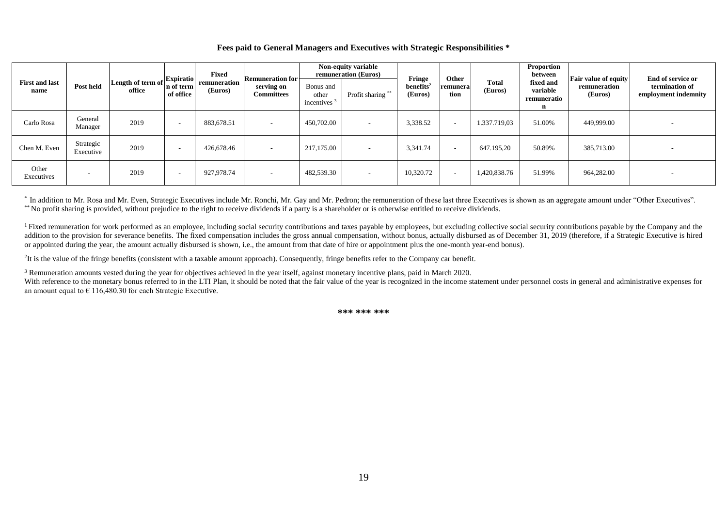#### **Fees paid to General Managers and Executives with Strategic Responsibilities \***

|                               |                        |                                                                                      |                          | Fixed                   | <b>Remuneration for</b><br>serving on<br><b>Committees</b> | Non-equity variable<br>remuneration (Euros) |                   | Fringe                           | Other            |                         | Proportion<br>between                     | <b>Fair value of equity</b> | End of service or                      |
|-------------------------------|------------------------|--------------------------------------------------------------------------------------|--------------------------|-------------------------|------------------------------------------------------------|---------------------------------------------|-------------------|----------------------------------|------------------|-------------------------|-------------------------------------------|-----------------------------|----------------------------------------|
| <b>First and last</b><br>name | Post held              | Length of term of $\left \frac{\text{Expiratio}}{\text{Expiratio}}\right $<br>office | of office                | remuneration<br>(Euros) |                                                            | Bonus and<br>other<br>incentives $3$        | Profit sharing ** | benefits <sup>2</sup><br>(Euros) | remunera<br>tion | <b>Total</b><br>(Euros) | fixed and<br>variable<br>remuneratio<br>n | remuneration<br>(Euros)     | termination of<br>employment indemnity |
| Carlo Rosa                    | General<br>Manager     | 2019                                                                                 | $\overline{\phantom{a}}$ | 883,678.51              | $\overline{\phantom{a}}$                                   | 450,702.00                                  |                   | 3,338.52                         | $\sim$           | 1.337.719,03            | 51.00%                                    | 449,999.00                  |                                        |
| Chen M. Even                  | Strategic<br>Executive | 2019                                                                                 | $\overline{\phantom{a}}$ | 426,678.46              | $\overline{\phantom{a}}$                                   | 217,175.00                                  |                   | 3,341.74                         |                  | 647.195.20              | 50.89%                                    | 385,713.00                  |                                        |
| Other<br>Executives           |                        | 2019                                                                                 | . .                      | 927,978.74              | $\overline{\phantom{a}}$                                   | 482,539.30                                  | $\sim$            | 10,320.72                        | . .              | 1,420,838.76            | 51.99%                                    | 964,282.00                  |                                        |

\* In addition to Mr. Rosa and Mr. Even, Strategic Executives include Mr. Ronchi, Mr. Gay and Mr. Pedron; the remuneration of these last three Executives is shown as an aggregate amount under "Other Executives". \*\* No profit sharing is provided, without prejudice to the right to receive dividends if a party is a shareholder or is otherwise entitled to receive dividends.

<sup>1</sup>Fixed remuneration for work performed as an employee, including social security contributions and taxes payable by employees, but excluding collective social security contributions payable by the Company and the addition to the provision for severance benefits. The fixed compensation includes the gross annual compensation, without bonus, actually disbursed as of December 31, 2019 (therefore, if a Strategic Executive is hired or appointed during the year, the amount actually disbursed is shown, i.e., the amount from that date of hire or appointment plus the one-month year-end bonus).

<sup>2</sup>It is the value of the fringe benefits (consistent with a taxable amount approach). Consequently, fringe benefits refer to the Company car benefit.

<sup>3</sup> Remuneration amounts vested during the year for objectives achieved in the year itself, against monetary incentive plans, paid in March 2020.

With reference to the monetary bonus referred to in the LTI Plan, it should be noted that the fair value of the year is recognized in the income statement under personnel costs in general and administrative expenses for an amount equal to  $\epsilon$  116,480.30 for each Strategic Executive.

**\*\*\* \*\*\* \*\*\***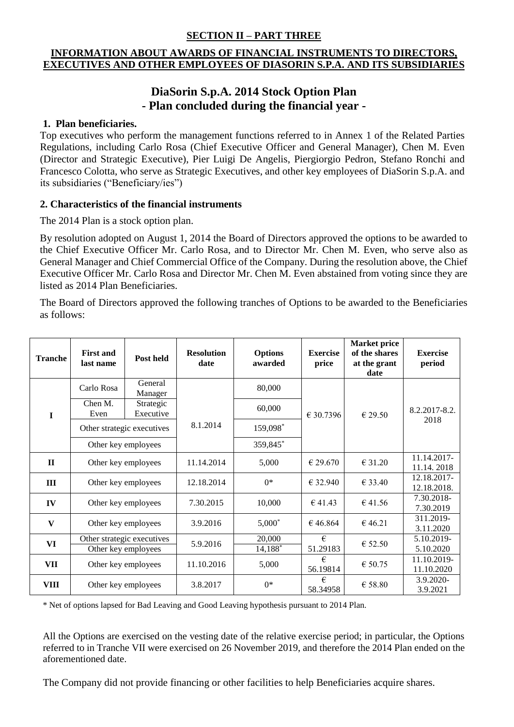# **SECTION II – PART THREE**

# **INFORMATION ABOUT AWARDS OF FINANCIAL INSTRUMENTS TO DIRECTORS, EXECUTIVES AND OTHER EMPLOYEES OF DIASORIN S.P.A. AND ITS SUBSIDIARIES**

# **DiaSorin S.p.A. 2014 Stock Option Plan - Plan concluded during the financial year -**

# **1. Plan beneficiaries.**

Top executives who perform the management functions referred to in Annex 1 of the Related Parties Regulations, including Carlo Rosa (Chief Executive Officer and General Manager), Chen M. Even (Director and Strategic Executive), Pier Luigi De Angelis, Piergiorgio Pedron, Stefano Ronchi and Francesco Colotta, who serve as Strategic Executives, and other key employees of DiaSorin S.p.A. and its subsidiaries ("Beneficiary/ies")

# **2. Characteristics of the financial instruments**

The 2014 Plan is a stock option plan.

By resolution adopted on August 1, 2014 the Board of Directors approved the options to be awarded to the Chief Executive Officer Mr. Carlo Rosa, and to Director Mr. Chen M. Even, who serve also as General Manager and Chief Commercial Office of the Company. During the resolution above, the Chief Executive Officer Mr. Carlo Rosa and Director Mr. Chen M. Even abstained from voting since they are listed as 2014 Plan Beneficiaries.

The Board of Directors approved the following tranches of Options to be awarded to the Beneficiaries as follows:

| <b>Tranche</b> | <b>First and</b><br>last name | Post held                  | <b>Resolution</b><br>date | <b>Options</b><br>awarded | <b>Exercise</b><br>price | <b>Market price</b><br>of the shares<br>at the grant<br>date | <b>Exercise</b><br>period  |
|----------------|-------------------------------|----------------------------|---------------------------|---------------------------|--------------------------|--------------------------------------------------------------|----------------------------|
|                | Carlo Rosa                    | General<br>Manager         |                           | 80,000                    |                          |                                                              |                            |
| $\mathbf{I}$   | Chen M.<br>Even               | Strategic<br>Executive     |                           | 60,000                    | € 30.7396                | €29.50                                                       | 8.2.2017-8.2.<br>2018      |
|                | Other strategic executives    |                            | 8.1.2014                  | 159,098*                  |                          |                                                              |                            |
|                | Other key employees           |                            |                           | 359,845*                  |                          |                                                              |                            |
| $\mathbf{I}$   | Other key employees           |                            | 11.14.2014                | 5,000                     | € 29.670                 | € 31.20                                                      | 11.14.2017-<br>11.14.2018  |
| Ш              | Other key employees           |                            | 12.18.2014                | $0*$                      | € 32.940                 | € 33.40                                                      | 12.18.2017-<br>12.18.2018. |
| IV             | Other key employees           |                            | 7.30.2015                 | 10,000                    | € 41.43                  | € 41.56                                                      | 7.30.2018-<br>7.30.2019    |
| V              |                               | Other key employees        |                           | $5,000*$                  | € 46.864                 | € 46.21                                                      | 311.2019-<br>3.11.2020     |
| VI             |                               | Other strategic executives |                           | 20,000                    | €                        | € 52.50                                                      | 5.10.2019-                 |
|                | Other key employees           |                            |                           | 14,188*                   | 51.29183<br>€            |                                                              | 5.10.2020                  |
| VII            | Other key employees           |                            | 11.10.2016                | 5,000                     | 56.19814                 | € 50.75                                                      | 11.10.2019-<br>11.10.2020  |
| <b>VIII</b>    | Other key employees           |                            | 3.8.2017                  | $0*$                      | €<br>58.34958            | € 58.80                                                      | 3.9.2020-<br>3.9.2021      |

\* Net of options lapsed for Bad Leaving and Good Leaving hypothesis pursuant to 2014 Plan.

All the Options are exercised on the vesting date of the relative exercise period; in particular, the Options referred to in Tranche VII were exercised on 26 November 2019, and therefore the 2014 Plan ended on the aforementioned date.

The Company did not provide financing or other facilities to help Beneficiaries acquire shares.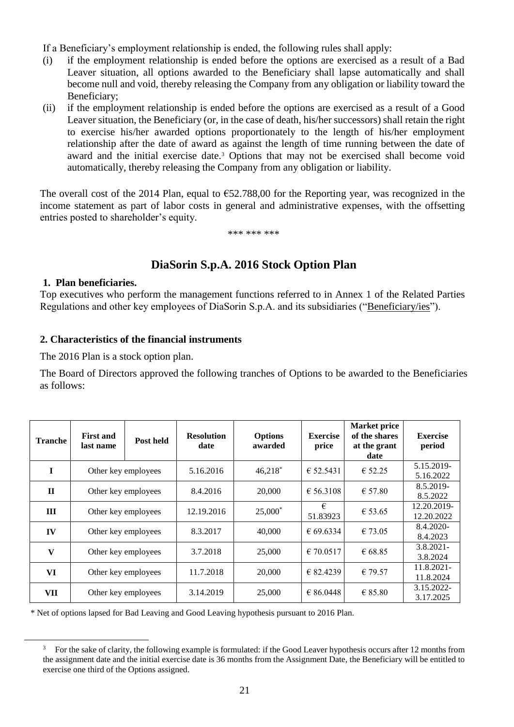If a Beneficiary's employment relationship is ended, the following rules shall apply:

- (i) if the employment relationship is ended before the options are exercised as a result of a Bad Leaver situation, all options awarded to the Beneficiary shall lapse automatically and shall become null and void, thereby releasing the Company from any obligation or liability toward the Beneficiary;
- (ii) if the employment relationship is ended before the options are exercised as a result of a Good Leaver situation, the Beneficiary (or, in the case of death, his/her successors) shall retain the right to exercise his/her awarded options proportionately to the length of his/her employment relationship after the date of award as against the length of time running between the date of award and the initial exercise date.<sup>3</sup> Options that may not be exercised shall become void automatically, thereby releasing the Company from any obligation or liability.

The overall cost of the 2014 Plan, equal to  $\epsilon$ 52.788,00 for the Reporting year, was recognized in the income statement as part of labor costs in general and administrative expenses, with the offsetting entries posted to shareholder's equity.

\*\*\* \*\*\* \*\*\*

# **DiaSorin S.p.A. 2016 Stock Option Plan**

### **1. Plan beneficiaries.**

 $\overline{a}$ 

Top executives who perform the management functions referred to in Annex 1 of the Related Parties Regulations and other key employees of DiaSorin S.p.A. and its subsidiaries ("Beneficiary/ies").

# **2. Characteristics of the financial instruments**

The 2016 Plan is a stock option plan.

The Board of Directors approved the following tranches of Options to be awarded to the Beneficiaries as follows:

| <b>Tranche</b> | <b>First and</b><br>last name | Post held           | <b>Resolution</b><br>date | <b>Options</b><br>awarded | <b>Exercise</b><br>price | <b>Market price</b><br>of the shares<br>at the grant<br>date | <b>Exercise</b><br>period |
|----------------|-------------------------------|---------------------|---------------------------|---------------------------|--------------------------|--------------------------------------------------------------|---------------------------|
| T              | Other key employees           |                     | 5.16.2016                 | $46,218$ <sup>*</sup>     | € 52.5431                | € 52.25                                                      | 5.15.2019-<br>5.16.2022   |
| $\mathbf{H}$   | Other key employees           |                     | 8.4.2016                  | 20,000                    | € 56.3108                | € 57.80                                                      | 8.5.2019-<br>8.5.2022     |
| $\mathbf{H}$   | Other key employees           |                     | 12.19.2016                | $25,000^*$                | €<br>51.83923            | € 53.65                                                      | 12.20.2019-<br>12.20.2022 |
| IV             |                               | Other key employees |                           | 40,000                    | € 69.6334                | € 73.05                                                      | 8.4.2020-<br>8.4.2023     |
| $\mathbf{V}$   |                               | Other key employees | 3.7.2018                  | 25,000                    | € 70.0517                | € 68.85                                                      | $3.8.2021 -$<br>3.8.2024  |
| VI             | Other key employees           |                     | 11.7.2018                 | 20,000                    | € 82.4239                | € 79.57                                                      | 11.8.2021-<br>11.8.2024   |
| VII            |                               | Other key employees | 3.14.2019                 | 25,000                    | € 86.0448                | € 85.80                                                      | 3.15.2022-<br>3.17.2025   |

\* Net of options lapsed for Bad Leaving and Good Leaving hypothesis pursuant to 2016 Plan.

 $3$  For the sake of clarity, the following example is formulated: if the Good Leaver hypothesis occurs after 12 months from the assignment date and the initial exercise date is 36 months from the Assignment Date, the Beneficiary will be entitled to exercise one third of the Options assigned.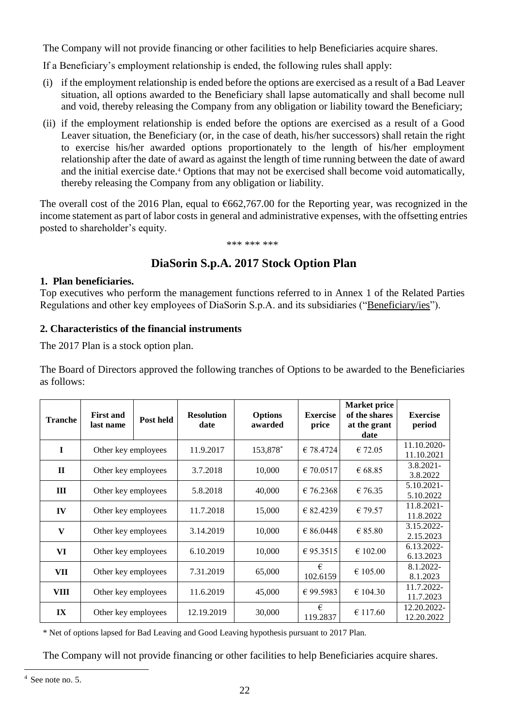The Company will not provide financing or other facilities to help Beneficiaries acquire shares.

If a Beneficiary's employment relationship is ended, the following rules shall apply:

- (i) if the employment relationship is ended before the options are exercised as a result of a Bad Leaver situation, all options awarded to the Beneficiary shall lapse automatically and shall become null and void, thereby releasing the Company from any obligation or liability toward the Beneficiary;
- (ii) if the employment relationship is ended before the options are exercised as a result of a Good Leaver situation, the Beneficiary (or, in the case of death, his/her successors) shall retain the right to exercise his/her awarded options proportionately to the length of his/her employment relationship after the date of award as against the length of time running between the date of award and the initial exercise date.<sup>4</sup> Options that may not be exercised shall become void automatically, thereby releasing the Company from any obligation or liability.

The overall cost of the 2016 Plan, equal to  $\epsilon$ 662,767.00 for the Reporting year, was recognized in the income statement as part of labor costs in general and administrative expenses, with the offsetting entries posted to shareholder's equity.

\*\*\* \*\*\* \*\*\*

# **DiaSorin S.p.A. 2017 Stock Option Plan**

# **1. Plan beneficiaries.**

Top executives who perform the management functions referred to in Annex 1 of the Related Parties Regulations and other key employees of DiaSorin S.p.A. and its subsidiaries ("Beneficiary/ies").

# **2. Characteristics of the financial instruments**

The 2017 Plan is a stock option plan.

The Board of Directors approved the following tranches of Options to be awarded to the Beneficiaries as follows:

| <b>Tranche</b>          | <b>First and</b><br>last name | Post held           | <b>Resolution</b><br>date | <b>Options</b><br>awarded | <b>Exercise</b><br>price | <b>Market price</b><br>of the shares<br>at the grant<br>date | <b>Exercise</b><br>period |
|-------------------------|-------------------------------|---------------------|---------------------------|---------------------------|--------------------------|--------------------------------------------------------------|---------------------------|
| $\mathbf I$             | Other key employees           |                     | 11.9.2017                 | 153,878*                  | €78.4724                 | € 72.05                                                      | 11.10.2020-<br>11.10.2021 |
| $\mathbf{H}$            | Other key employees           |                     | 3.7.2018                  | 10,000                    | € 70.0517                | € 68.85                                                      | $3.8.2021 -$<br>3.8.2022  |
| Ш                       |                               | Other key employees |                           | 40,000                    | €76.2368                 | € 76.35                                                      | 5.10.2021-<br>5.10.2022   |
| IV                      | Other key employees           |                     | 11.7.2018                 | 15,000                    | € 82.4239                | € 79.57                                                      | 11.8.2021-<br>11.8.2022   |
| V                       |                               | Other key employees |                           | 10,000                    | € 86.0448                | $\epsilon$ 85.80                                             | 3.15.2022-<br>2.15.2023   |
| VI                      | Other key employees           |                     | 6.10.2019                 | 10,000                    | € 95.3515                | € 102.00                                                     | 6.13.2022-<br>6.13.2023   |
| VII                     | Other key employees           |                     | 7.31.2019                 | 65,000                    | €<br>102.6159            | € 105.00                                                     | 8.1.2022-<br>8.1.2023     |
| <b>VIII</b>             | Other key employees           |                     | 11.6.2019                 | 45,000                    | €99.5983                 | € 104.30                                                     | 11.7.2022-<br>11.7.2023   |
| $\mathbf{I} \mathbf{X}$ | Other key employees           |                     | 12.19.2019                | 30,000                    | €<br>119.2837            | € 117.60                                                     | 12.20.2022-<br>12.20.2022 |

\* Net of options lapsed for Bad Leaving and Good Leaving hypothesis pursuant to 2017 Plan.

The Company will not provide financing or other facilities to help Beneficiaries acquire shares.

 $\overline{a}$ 

<sup>4</sup> See note no. 5.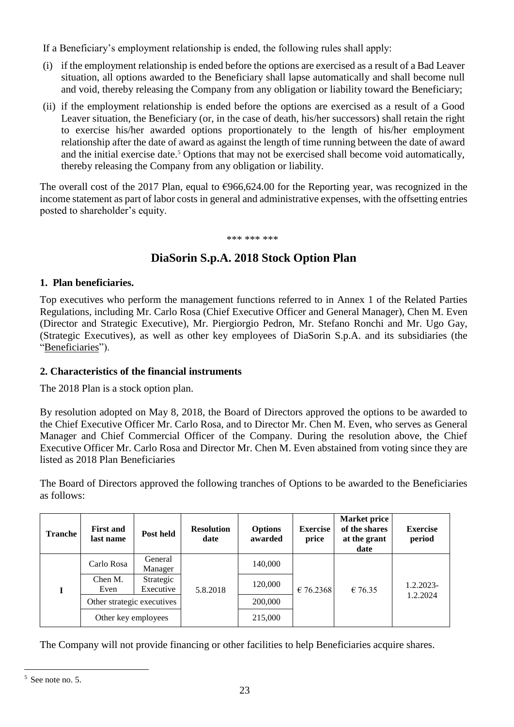If a Beneficiary's employment relationship is ended, the following rules shall apply:

- (i) if the employment relationship is ended before the options are exercised as a result of a Bad Leaver situation, all options awarded to the Beneficiary shall lapse automatically and shall become null and void, thereby releasing the Company from any obligation or liability toward the Beneficiary;
- (ii) if the employment relationship is ended before the options are exercised as a result of a Good Leaver situation, the Beneficiary (or, in the case of death, his/her successors) shall retain the right to exercise his/her awarded options proportionately to the length of his/her employment relationship after the date of award as against the length of time running between the date of award and the initial exercise date.<sup>5</sup> Options that may not be exercised shall become void automatically, thereby releasing the Company from any obligation or liability.

The overall cost of the 2017 Plan, equal to  $\epsilon$ 966,624.00 for the Reporting year, was recognized in the income statement as part of labor costs in general and administrative expenses, with the offsetting entries posted to shareholder's equity.

\*\*\* \*\*\* \*\*\*

# **DiaSorin S.p.A. 2018 Stock Option Plan**

# **1. Plan beneficiaries.**

Top executives who perform the management functions referred to in Annex 1 of the Related Parties Regulations, including Mr. Carlo Rosa (Chief Executive Officer and General Manager), Chen M. Even (Director and Strategic Executive), Mr. Piergiorgio Pedron, Mr. Stefano Ronchi and Mr. Ugo Gay, (Strategic Executives), as well as other key employees of DiaSorin S.p.A. and its subsidiaries (the "Beneficiaries").

# **2. Characteristics of the financial instruments**

The 2018 Plan is a stock option plan.

By resolution adopted on May 8, 2018, the Board of Directors approved the options to be awarded to the Chief Executive Officer Mr. Carlo Rosa, and to Director Mr. Chen M. Even, who serves as General Manager and Chief Commercial Officer of the Company. During the resolution above, the Chief Executive Officer Mr. Carlo Rosa and Director Mr. Chen M. Even abstained from voting since they are listed as 2018 Plan Beneficiaries

The Board of Directors approved the following tranches of Options to be awarded to the Beneficiaries as follows:

| <b>Tranche</b> | <b>First and</b><br>last name | Post held              | <b>Resolution</b><br>date | <b>Options</b><br>awarded | <b>Exercise</b><br>price | <b>Market price</b><br>of the shares<br>at the grant<br>date | <b>Exercise</b><br>period |
|----------------|-------------------------------|------------------------|---------------------------|---------------------------|--------------------------|--------------------------------------------------------------|---------------------------|
|                | Carlo Rosa                    | General<br>Manager     |                           | 140,000                   | $\in$ 76.2368            | € 76.35                                                      | 1.2.2023-<br>1.2.2024     |
|                | Chen M.<br>Even               | Strategic<br>Executive | 5.8.2018                  | 120,000                   |                          |                                                              |                           |
|                | Other strategic executives    |                        |                           | 200,000                   |                          |                                                              |                           |
|                | Other key employees           |                        |                           | 215,000                   |                          |                                                              |                           |

The Company will not provide financing or other facilities to help Beneficiaries acquire shares.

 $\overline{a}$ <sup>5</sup> See note no. 5.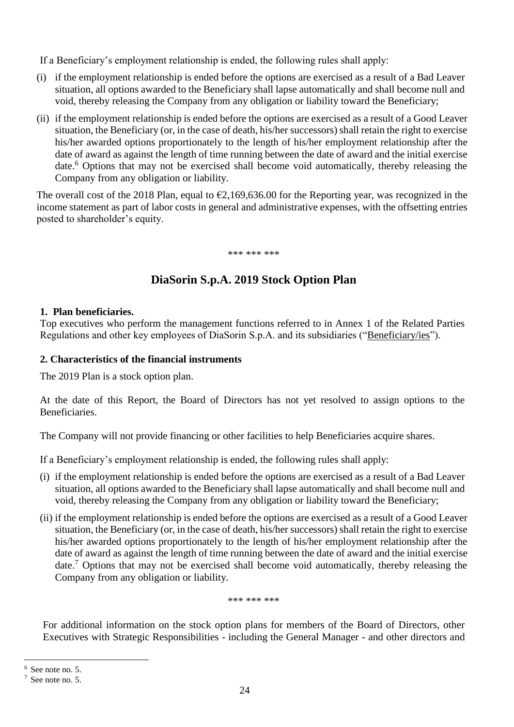If a Beneficiary's employment relationship is ended, the following rules shall apply:

- (i) if the employment relationship is ended before the options are exercised as a result of a Bad Leaver situation, all options awarded to the Beneficiary shall lapse automatically and shall become null and void, thereby releasing the Company from any obligation or liability toward the Beneficiary;
- (ii) if the employment relationship is ended before the options are exercised as a result of a Good Leaver situation, the Beneficiary (or, in the case of death, his/her successors) shall retain the right to exercise his/her awarded options proportionately to the length of his/her employment relationship after the date of award as against the length of time running between the date of award and the initial exercise date.<sup>6</sup> Options that may not be exercised shall become void automatically, thereby releasing the Company from any obligation or liability.

The overall cost of the 2018 Plan, equal to  $\epsilon$ 2,169,636.00 for the Reporting year, was recognized in the income statement as part of labor costs in general and administrative expenses, with the offsetting entries posted to shareholder's equity.

\*\*\* \*\*\* \*\*\*

# **DiaSorin S.p.A. 2019 Stock Option Plan**

# **1. Plan beneficiaries.**

Top executives who perform the management functions referred to in Annex 1 of the Related Parties Regulations and other key employees of DiaSorin S.p.A. and its subsidiaries ("Beneficiary/ies").

# **2. Characteristics of the financial instruments**

The 2019 Plan is a stock option plan.

At the date of this Report, the Board of Directors has not yet resolved to assign options to the Beneficiaries.

The Company will not provide financing or other facilities to help Beneficiaries acquire shares.

If a Beneficiary's employment relationship is ended, the following rules shall apply:

- (i) if the employment relationship is ended before the options are exercised as a result of a Bad Leaver situation, all options awarded to the Beneficiary shall lapse automatically and shall become null and void, thereby releasing the Company from any obligation or liability toward the Beneficiary;
- (ii) if the employment relationship is ended before the options are exercised as a result of a Good Leaver situation, the Beneficiary (or, in the case of death, his/her successors) shall retain the right to exercise his/her awarded options proportionately to the length of his/her employment relationship after the date of award as against the length of time running between the date of award and the initial exercise date.<sup>7</sup> Options that may not be exercised shall become void automatically, thereby releasing the Company from any obligation or liability.

\*\*\* \*\*\* \*\*\*

For additional information on the stock option plans for members of the Board of Directors, other Executives with Strategic Responsibilities - including the General Manager - and other directors and

 $\overline{a}$ 

 $6$  See note no. 5.

 $7$  See note no. 5.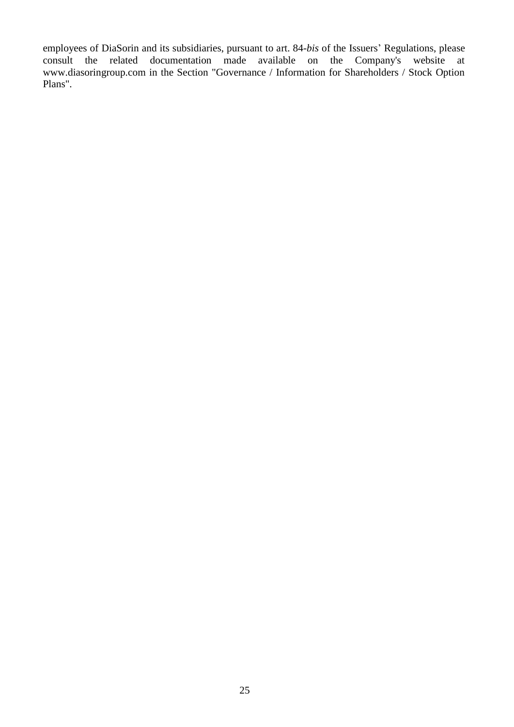employees of DiaSorin and its subsidiaries, pursuant to art. 84-*bis* of the Issuers' Regulations, please consult the related documentation made available on the Company's website at www.diasoringroup.com in the Section "Governance / Information for Shareholders / Stock Option Plans".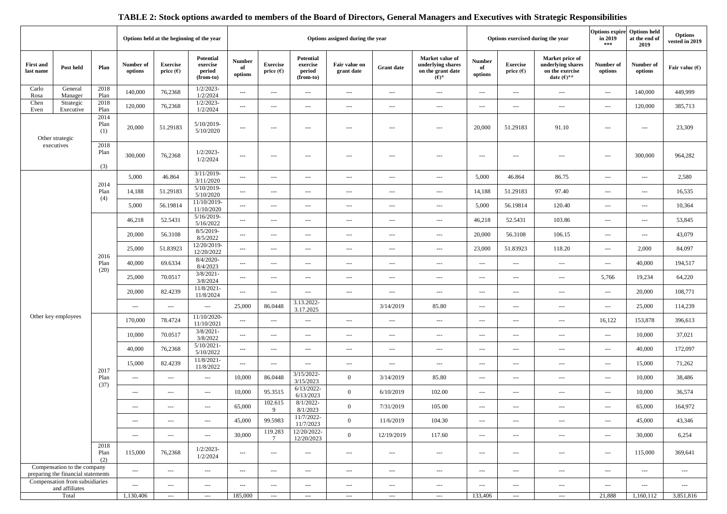# **TABLE 2: Stock options awarded to members of the Board of Directors, General Managers and Executives with Strategic Responsibilities**

|                               |                                                                   |                      | Options held at the beginning of the year |                                       |                                              | Options assigned during the year         |                                       |                                              |                                          | Options exercised during the year        |                                                                      | in 2019<br>***           | Options expire Options held<br>at the end of<br>2019 | <b>Options</b><br>vested in 2019                                                |                          |                      |                          |
|-------------------------------|-------------------------------------------------------------------|----------------------|-------------------------------------------|---------------------------------------|----------------------------------------------|------------------------------------------|---------------------------------------|----------------------------------------------|------------------------------------------|------------------------------------------|----------------------------------------------------------------------|--------------------------|------------------------------------------------------|---------------------------------------------------------------------------------|--------------------------|----------------------|--------------------------|
| <b>First and</b><br>last name | Post held                                                         | Plan                 | Number of<br>options                      | <b>Exercise</b><br>price $(\epsilon)$ | Potential<br>exercise<br>period<br>(from-to) | <b>Number</b><br>of<br>options           | <b>Exercise</b><br>price $(\epsilon)$ | Potential<br>exercise<br>period<br>(from-to) | Fair value on<br>grant date              | <b>Grant</b> date                        | Market value of<br>underlying shares<br>on the grant date<br>$(E)^*$ | Number<br>of<br>options  | <b>Exercise</b><br>price $(\epsilon)$                | Market price of<br>underlying shares<br>on the exercise<br>date $(\epsilon)$ ** | Number of<br>options     | Number of<br>options | Fair value $(E)$         |
| Carlo<br>Rosa                 | General<br>Manager                                                | 2018<br>Plan         | 140,000                                   | 76,2368                               | $1/2/2023$ -<br>1/2/2024                     | $\hspace{0.05cm} \ldots$                 | $\hspace{0.05cm} \cdots$              | $\scriptstyle\cdots$                         | $\scriptstyle\cdots$                     | $\hspace{1.5cm} \textbf{---}$            | $\hspace{1.5cm} \textbf{---}$                                        | $\hspace{0.05cm} \ldots$ | $-\, -\, -$                                          | $\cdots$                                                                        | $\hspace{0.05cm} \cdots$ | 140,000              | 449,999                  |
| Chen<br>Even                  | Strategic<br>Executive                                            | 2018<br>Plan         | 120,000                                   | 76,2368                               | $1/2/2023$ -<br>1/2/2024                     | $\hspace{0.05cm} \ldots$                 | $\overline{a}$                        | $\cdots$                                     | $\cdots$                                 | $\hspace{1.5cm} \textbf{---}$            | $--$                                                                 | $\hspace{0.05cm} \ldots$ | ---                                                  | $\sim$ $\sim$                                                                   | $\cdots$                 | 120,000              | 385,713                  |
| Other strategic               |                                                                   | 2014<br>Plan<br>(1)  | 20,000                                    | 51.29183                              | 5/10/2019-<br>5/10/2020                      | $--$                                     | $\sim$ $\sim$ $\sim$                  | $\cdots$                                     | $\cdots$                                 | $\overline{a}$                           | $--$                                                                 | 20,000                   | 51.29183                                             | 91.10                                                                           | $\overline{a}$           | ---                  | 23,309                   |
|                               | executives                                                        | 2018<br>Plan<br>(3)  | 300,000                                   | 76,2368                               | $1/2/2023-$<br>1/2/2024                      | $--$                                     | $\scriptstyle\cdots$                  | $\hspace{0.05cm} \ldots$                     | $\scriptstyle\cdots$                     | $\hspace{0.05cm} \cdots$                 | $\hspace{1.5cm} \textbf{---}$                                        | $-\cdots$                | $\overline{a}$                                       | $- - -$                                                                         | $\cdots$                 | 300,000              | 964,282                  |
|                               |                                                                   |                      | 5,000                                     | 46.864                                | $3/11/2019$ -<br>3/11/2020                   | $\scriptstyle\cdots$                     | $\sim$                                | $\scriptstyle\cdots$                         | $\hspace{0.05cm} \ldots \hspace{0.05cm}$ | $\hspace{0.05cm} \ldots$                 | $\hspace{0.05cm} \ldots$                                             | 5,000                    | 46.864                                               | 86.75                                                                           | $\cdots$                 | ---                  | 2,580                    |
|                               |                                                                   | 2014<br>Plan         | 14,188                                    | 51.29183                              | 5/10/2019-<br>5/10/2020                      | $\scriptstyle\cdots$                     | $\sim$ $\sim$ $\sim$                  | $\scriptstyle\cdots$                         | $\cdots$                                 | $\hspace{0.05cm} \ldots$                 | $\hspace{0.05cm} \ldots$                                             | 14,188                   | 51.29183                                             | 97.40                                                                           | $\ldots$                 | $---$                | 16,535                   |
|                               |                                                                   | (4)                  | 5,000                                     | 56.19814                              | 11/10/2019-<br>11/10/2020                    | $\hspace{0.05cm}---$                     | $\overline{a}$                        | $\cdots$                                     | $\cdots$                                 | $---$                                    | $--$                                                                 | 5,000                    | 56.19814                                             | 120.40                                                                          | $\cdots$                 | $---$                | 10,364                   |
|                               |                                                                   | 2016<br>Plan<br>(20) | 46,218                                    | 52.5431                               | 5/16/2019-<br>5/16/2022                      | $--$                                     | $\scriptstyle\cdots$                  | $\hspace{0.05cm} \ldots$                     | $---$                                    | $\hspace{0.05cm} \cdots$                 | $--$                                                                 | 46,218                   | 52.5431                                              | 103.86                                                                          | $\cdots$                 | $\cdots$             | 53,845                   |
|                               |                                                                   |                      | 20,000                                    | 56.3108                               | $8/5/2019-$<br>8/5/2022                      | $\hspace{0.05cm} \ldots \hspace{0.05cm}$ | $\hspace{0.05cm} \cdots$              | $\scriptstyle\cdots$                         | $\scriptstyle\cdots$                     | $\hspace{0.05cm} \cdots$                 | $\cdots$                                                             | 20,000                   | 56.3108                                              | 106.15                                                                          | $\cdots$                 | ---                  | 43,079                   |
|                               |                                                                   |                      | 25,000                                    | 51.83923                              | 12/20/2019-<br>12/20/2022                    | $\hspace{0.05cm} \ldots$                 | $\scriptstyle\cdots$                  | $\hspace{0.05cm} \ldots$                     | $\scriptstyle\cdots$                     | $\hspace{1.5cm} \textbf{---}$            | $-\, -\, -$                                                          | 23,000                   | 51.83923                                             | 118.20                                                                          | $\cdots$                 | 2,000                | 84,097                   |
|                               |                                                                   |                      | 40,000                                    | 69.6334                               | $8/4/2020$ -<br>8/4/2023                     | $\hspace{0.05cm}---$                     | $\cdots$                              | $\scriptstyle\cdots$                         | $\cdots$                                 | $\cdots$                                 | $\cdots$                                                             | $\cdots$                 | $\scriptstyle\cdots$                                 | $\cdots$                                                                        | $\cdots$                 | 40,000               | 194,517                  |
|                               |                                                                   |                      | 25,000                                    | 70.0517                               | $3/8/2021 -$<br>3/8/2024                     | $\hspace{0.05cm} \ldots$                 | $\sim$ $\sim$ $\sim$                  | $\hspace{0.05cm} \ldots$                     | $\cdots$                                 | $\overline{a}$                           | $-\, -\, -$                                                          | $\hspace{0.05cm} \ldots$ | $\overline{a}$                                       | $\sim$ $\sim$                                                                   | 5,766                    | 19,234               | 64,220                   |
|                               |                                                                   |                      | 20,000                                    | 82.4239                               | 11/8/2021-<br>11/8/2024                      | $\hspace{0.05cm} \ldots \hspace{0.05cm}$ | $\sim$ $\sim$ $\sim$                  | $---$                                        | $\cdots$                                 | $\cdots$                                 | $\cdots$                                                             | $\cdots$                 | $\cdots$                                             | $\cdots$                                                                        | $\cdots$                 | 20,000               | 108,771                  |
|                               |                                                                   |                      | $\sim$ $\sim$                             | $\hspace{0.05cm} \ldots$              | $\scriptstyle\cdots$                         | 25,000                                   | 86.0448                               | 3.13.2022-<br>3.17.2025                      |                                          | 3/14/2019                                | 85.80                                                                | $\cdots$                 | ---                                                  | $\sim$ $\sim$                                                                   | $\cdots$ .               | 25,000               | 114,239                  |
|                               | Other key employees                                               |                      | 170,000                                   | 78.4724                               | 11/10/2020-<br>11/10/2021                    | $\scriptstyle\cdots$                     | $\sim$ $\sim$ $\sim$                  | $\scriptstyle\cdots$                         | $\hspace{0.05cm} \ldots \hspace{0.05cm}$ | $\hspace{0.05cm} \ldots$                 | $\hspace{0.05cm} \ldots$                                             | $\hspace{0.05cm}---$     | $\cdots$                                             | $\scriptstyle \cdots$                                                           | 16,122                   | 153,878              | 396,613                  |
|                               |                                                                   |                      | 10,000                                    | 70.0517                               | $3/8/2021 -$<br>3/8/2022                     | $\hspace{0.05cm}---$                     | $\sim$ $\sim$                         | $\scriptstyle\cdots$                         | $\hspace{0.05cm} \ldots \hspace{0.05cm}$ | $---$                                    | $\hspace{0.05cm} \ldots$                                             | $\hspace{0.05cm} \ldots$ | $\cdots$                                             | $\sim$ $\sim$                                                                   | $\cdots$                 | 10,000               | 37,021                   |
|                               |                                                                   |                      | 40,000                                    | 76,2368                               | $5/10/2021$ -<br>5/10/2022                   | $\hspace{0.05cm} \ldots \hspace{0.05cm}$ | $\sim$ $\sim$ $\sim$                  | $\scriptstyle\cdots$                         | $\hspace{0.05cm} \ldots \hspace{0.05cm}$ | $\hspace{0.05cm} \ldots$                 | $\hspace{0.05cm} \ldots$                                             | $\hspace{0.05cm} \ldots$ | ---                                                  | $\sim$ $\sim$                                                                   | $\cdots$                 | 40,000               | 172,097                  |
|                               |                                                                   |                      | 15,000                                    | 82.4239                               | 11/8/2021-<br>11/8/2022                      | $\hspace{0.05cm} \ldots \hspace{0.05cm}$ | $\sim$ $\sim$ $\sim$                  | $\scriptstyle\cdots$                         | $\hspace{0.05cm} \ldots \hspace{0.05cm}$ | $\cdots$                                 | $\hspace{0.05cm} \ldots$                                             | $\hspace{0.05cm} \ldots$ | $\cdots$                                             | $\overline{\phantom{a}}$                                                        | $\scriptstyle\cdots$     | 15,000               | 71,262                   |
|                               |                                                                   | 2017<br>Plan         | $\cdots$ .                                | $\hspace{0.05cm} \ldots$              | $\hspace{0.05cm} \ldots$                     | 10,000                                   | 86.0448                               | 3/15/2022-<br>3/15/2023                      | $\overline{0}$                           | 3/14/2019                                | 85.80                                                                | $\hspace{0.05cm} \ldots$ | $\cdots$                                             | $\sim$ $\sim$                                                                   | $\ldots$ .               | 10,000               | 38,486                   |
|                               |                                                                   | (37)                 | $\cdots$                                  | $\hspace{0.05cm}---$                  | $\cdots$                                     | 10,000                                   | 95.3515                               | $6/13/2022$ -<br>6/13/2023                   | $\overline{0}$                           | 6/10/2019                                | 102.00                                                               | $\hspace{0.05cm}---$     | $\overline{a}$                                       | $\cdots$                                                                        | $\cdots$                 | 10,000               | 36,574                   |
|                               |                                                                   |                      | ---                                       | $\sim$ $\sim$                         | $\cdots$                                     | 65,000                                   | 102.615<br>9                          | $8/1/2022$ -<br>8/1/2023                     | $\overline{0}$                           | 7/31/2019                                | 105.00                                                               | $\hspace{0.05cm}---$     | $\cdots$                                             | $\cdots$                                                                        | $\sim$ $\sim$ $\sim$     | 65,000               | 164,972                  |
|                               |                                                                   |                      | $\cdots$                                  | $\hspace{0.05cm} \ldots$              | $\overline{\phantom{a}}$                     | 45,000                                   | 99.5983                               | 11/7/2022-<br>11/7/2023                      | $\overline{0}$                           | 11/6/2019                                | 104.30                                                               | $\hspace{0.05cm} \ldots$ | $\sim$                                               | $\scriptstyle\cdots$                                                            | $\cdots$                 | 45,000               | 43,346                   |
|                               |                                                                   |                      | $\cdots$                                  | $\hspace{0.05cm} \ldots$              | $\scriptstyle\cdots$                         | 30,000                                   | 119.283<br>$7\overline{ }$            | 12/20/2022-<br>12/20/2023                    | $\overline{0}$                           | 12/19/2019                               | 117.60                                                               | $\hspace{0.05cm} \ldots$ | $\cdots$                                             | $\sim$                                                                          | $\sim$ $\sim$            | 30,000               | 6,254                    |
|                               |                                                                   | 2018<br>Plan<br>(2)  | 115,000                                   | 76,2368                               | $1/2/2023-$<br>1/2/2024                      | $\sim$                                   | $\sim$ $\sim$ $\sim$                  | $\sim$ $\sim$                                | $\cdots$                                 | $\cdots$                                 | $\cdots$                                                             | $\cdots$                 | $\hspace{0.05cm} \ldots \hspace{0.05cm}$             | $\cdots$                                                                        | $\cdots$ .               | 115,000              | 369,641                  |
|                               | Compensation to the company<br>preparing the financial statements |                      | $\sim$ $\sim$ $\sim$                      | $\hspace{0.05cm} \ldots$              | $\scriptstyle\cdots$                         | $\hspace{0.05cm}---$                     | $\cdots$                              | $\sim$                                       | $\scriptstyle\cdots\scriptstyle\cdots$   | $\hspace{0.05cm} \ldots$                 | $\scriptstyle\cdots\scriptstyle\cdots$                               | $\sim$                   | $\sim$                                               | $\sim$ $\sim$ $\sim$                                                            | $\cdots$                 | $\cdots$             | $\hspace{0.05cm} \ldots$ |
|                               | Compensation from subsidiaries<br>and affiliates                  |                      | $\cdots$                                  | $\hspace{0.05cm} \ldots$              | $\hspace{0.05cm} \ldots$                     | $\hspace{0.05cm}---$                     | $\sim$ $\sim$ $\sim$                  | $\cdots$                                     | $\cdots$                                 | $\hspace{0.05cm} \ldots \hspace{0.05cm}$ | $\scriptstyle\cdots$                                                 | $\cdots$                 | $\cdots$                                             | $\scriptstyle\cdots$                                                            | $\ldots$                 | $\cdots$             | $\hspace{0.05cm} \ldots$ |
| Total                         |                                                                   |                      | 1,130,406                                 | $\hspace{0.05cm} \ldots$              | $\hspace{0.05cm} \ldots$                     | 185,000                                  | $\sim$                                | $\sim$                                       | $\sim$ $\sim$                            | $\cdots$                                 | $\sim$ $\sim$                                                        | 133,406                  | $\sim$                                               | $\sim$                                                                          | 21,888                   | 1,160,112            | 3,851,816                |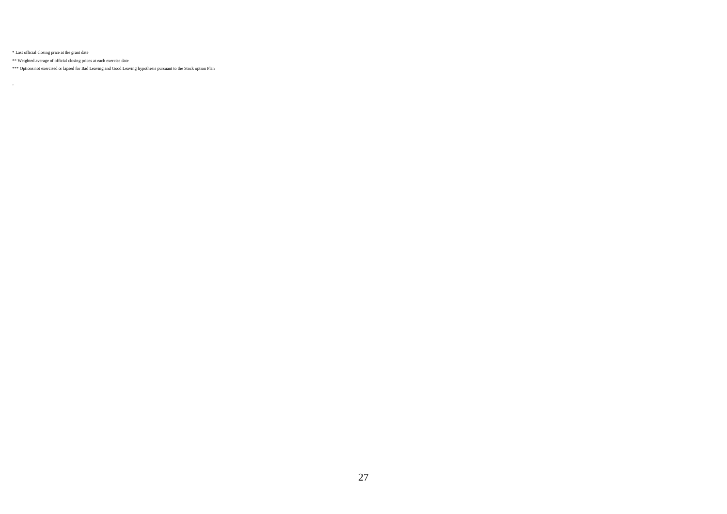\* Last official closing price at the grant date

.

\*\* Weighted average of official closing prices at each exercise date

\*\*\* Options not exercised or lapsed for Bad Leaving and Good Leaving hypothesis pursuant to the Stock option Plan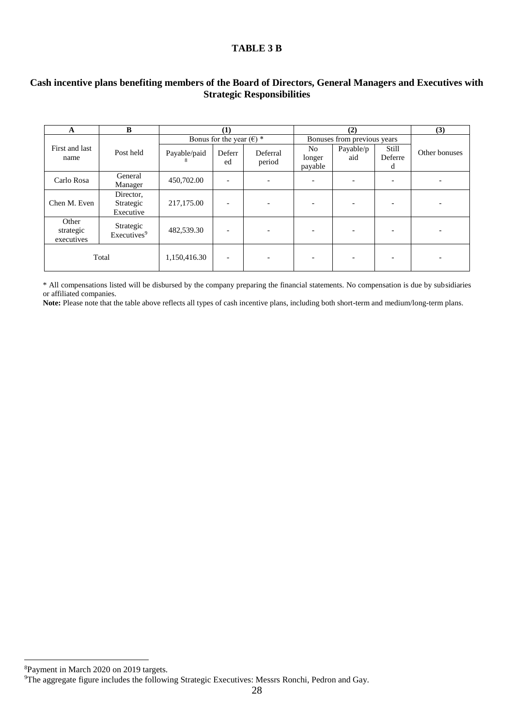## **TABLE 3 B**

### **Cash incentive plans benefiting members of the Board of Directors, General Managers and Executives with Strategic Responsibilities**

| A                                | B                                    |              | $\left(1\right)$                  |                          |                                     | (3)                      |                          |               |
|----------------------------------|--------------------------------------|--------------|-----------------------------------|--------------------------|-------------------------------------|--------------------------|--------------------------|---------------|
|                                  |                                      |              | Bonus for the year $(\epsilon)$ * |                          | Bonuses from previous years         |                          |                          |               |
| First and last<br>name           | Post held                            | Payable/paid | Deferr<br>ed                      | Deferral<br>period       | N <sub>o</sub><br>longer<br>payable | Payable/p<br>aid         | Still<br>Deferre<br>d    | Other bonuses |
| Carlo Rosa                       | General<br>Manager                   | 450,702.00   |                                   |                          |                                     | $\overline{\phantom{a}}$ | $\overline{\phantom{0}}$ |               |
| Chen M. Even                     | Director,<br>Strategic<br>Executive  | 217,175.00   |                                   |                          |                                     |                          |                          |               |
| Other<br>strategic<br>executives | Strategic<br>Executives <sup>9</sup> | 482,539.30   |                                   | $\overline{\phantom{0}}$ |                                     | -                        |                          |               |
| Total                            |                                      | 1,150,416.30 | $\overline{\phantom{0}}$          | $\overline{\phantom{0}}$ |                                     | $\overline{\phantom{a}}$ | $\overline{\phantom{a}}$ |               |

\* All compensations listed will be disbursed by the company preparing the financial statements. No compensation is due by subsidiaries or affiliated companies.

Note: Please note that the table above reflects all types of cash incentive plans, including both short-term and medium/long-term plans.

<sup>8</sup>Payment in March 2020 on 2019 targets.

 $\overline{a}$ 

<sup>&</sup>lt;sup>9</sup>The aggregate figure includes the following Strategic Executives: Messrs Ronchi, Pedron and Gay.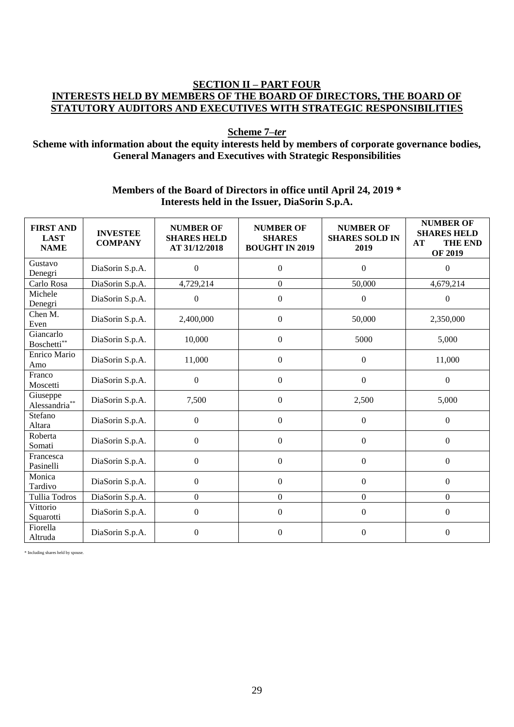# **SECTION II – PART FOUR INTERESTS HELD BY MEMBERS OF THE BOARD OF DIRECTORS, THE BOARD OF STATUTORY AUDITORS AND EXECUTIVES WITH STRATEGIC RESPONSIBILITIES**

**Scheme 7–***ter*

# **Scheme with information about the equity interests held by members of corporate governance bodies, General Managers and Executives with Strategic Responsibilities**

# **Members of the Board of Directors in office until April 24, 2019 \* Interests held in the Issuer, DiaSorin S.p.A.**

| <b>FIRST AND</b><br><b>LAST</b><br><b>NAME</b> | <b>INVESTEE</b><br><b>COMPANY</b> | <b>NUMBER OF</b><br><b>SHARES HELD</b><br>AT 31/12/2018 | <b>NUMBER OF</b><br><b>SHARES</b><br><b>BOUGHT IN 2019</b> | <b>NUMBER OF</b><br><b>SHARES SOLD IN</b><br>2019 | <b>NUMBER OF</b><br><b>SHARES HELD</b><br><b>THE END</b><br>AT<br><b>OF 2019</b> |
|------------------------------------------------|-----------------------------------|---------------------------------------------------------|------------------------------------------------------------|---------------------------------------------------|----------------------------------------------------------------------------------|
| Gustavo<br>Denegri                             | DiaSorin S.p.A.                   | $\boldsymbol{0}$                                        | $\boldsymbol{0}$                                           | $\mathbf{0}$                                      | $\Omega$                                                                         |
| Carlo Rosa                                     | DiaSorin S.p.A.                   | 4,729,214                                               | $\overline{0}$                                             | 50,000                                            | 4,679,214                                                                        |
| Michele<br>Denegri                             | DiaSorin S.p.A.                   | $\theta$                                                | $\boldsymbol{0}$                                           | $\boldsymbol{0}$                                  | $\theta$                                                                         |
| Chen M.<br>Even                                | DiaSorin S.p.A.                   | 2,400,000                                               | $\boldsymbol{0}$                                           | 50,000                                            | 2,350,000                                                                        |
| Giancarlo<br>Boschetti**                       | DiaSorin S.p.A.                   | 10,000                                                  | $\boldsymbol{0}$                                           | 5000                                              | 5,000                                                                            |
| Enrico Mario<br>Amo                            | DiaSorin S.p.A.                   | 11,000                                                  | $\overline{0}$                                             | $\mathbf{0}$                                      | 11,000                                                                           |
| Franco<br>Moscetti                             | DiaSorin S.p.A.                   | 0                                                       | $\boldsymbol{0}$                                           | $\mathbf{0}$                                      | $\boldsymbol{0}$                                                                 |
| Giuseppe<br>Alessandria**                      | DiaSorin S.p.A.                   | 7,500                                                   | $\boldsymbol{0}$                                           | 2,500                                             | 5,000                                                                            |
| Stefano<br>Altara                              | DiaSorin S.p.A.                   | $\boldsymbol{0}$                                        | $\boldsymbol{0}$                                           | $\theta$                                          | $\boldsymbol{0}$                                                                 |
| Roberta<br>Somati                              | DiaSorin S.p.A.                   | $\boldsymbol{0}$                                        | $\boldsymbol{0}$                                           | $\boldsymbol{0}$                                  | $\boldsymbol{0}$                                                                 |
| Francesca<br>Pasinelli                         | DiaSorin S.p.A.                   | $\boldsymbol{0}$                                        | $\overline{0}$                                             | $\mathbf{0}$                                      | $\overline{0}$                                                                   |
| Monica<br>Tardivo                              | DiaSorin S.p.A.                   | $\mathbf{0}$                                            | $\overline{0}$                                             | $\mathbf{0}$                                      | $\boldsymbol{0}$                                                                 |
| <b>Tullia Todros</b>                           | DiaSorin S.p.A.                   | $\boldsymbol{0}$                                        | $\boldsymbol{0}$                                           | $\mathbf{0}$                                      | $\overline{0}$                                                                   |
| Vittorio<br>Squarotti                          | DiaSorin S.p.A.                   | $\boldsymbol{0}$                                        | $\boldsymbol{0}$                                           | $\mathbf{0}$                                      | $\mathbf{0}$                                                                     |
| Fiorella<br>Altruda                            | DiaSorin S.p.A.                   | $\boldsymbol{0}$                                        | $\overline{0}$                                             | $\boldsymbol{0}$                                  | $\mathbf{0}$                                                                     |

\* Including shares held by spouse.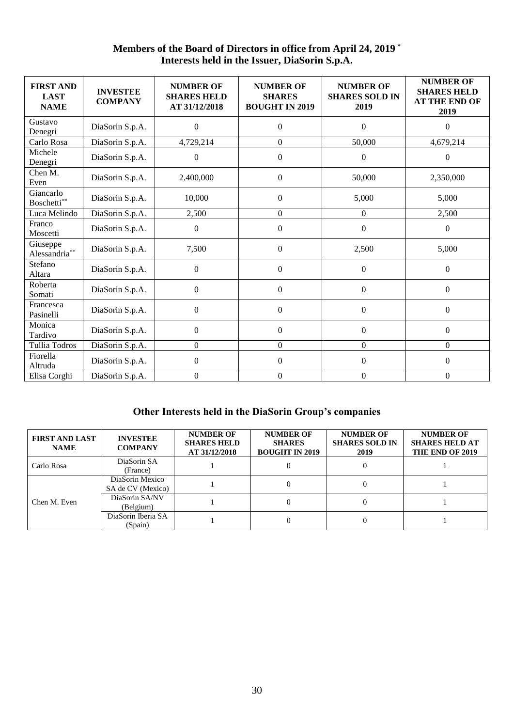# **Members of the Board of Directors in office from April 24, 2019 \* Interests held in the Issuer, DiaSorin S.p.A.**

| <b>FIRST AND</b><br><b>LAST</b><br><b>NAME</b> | <b>INVESTEE</b><br><b>COMPANY</b> | <b>NUMBER OF</b><br><b>SHARES HELD</b><br>AT 31/12/2018 | <b>NUMBER OF</b><br><b>SHARES</b><br><b>BOUGHT IN 2019</b> | <b>NUMBER OF</b><br><b>SHARES SOLD IN</b><br>2019 | <b>NUMBER OF</b><br><b>SHARES HELD</b><br><b>AT THE END OF</b><br>2019 |
|------------------------------------------------|-----------------------------------|---------------------------------------------------------|------------------------------------------------------------|---------------------------------------------------|------------------------------------------------------------------------|
| Gustavo<br>Denegri                             | DiaSorin S.p.A.                   | $\mathbf{0}$                                            | $\overline{0}$                                             | $\mathbf{0}$                                      | $\Omega$                                                               |
| Carlo Rosa                                     | DiaSorin S.p.A.                   | 4,729,214                                               | $\Omega$                                                   | 50,000                                            | 4,679,214                                                              |
| Michele<br>Denegri                             | DiaSorin S.p.A.                   | $\boldsymbol{0}$                                        | $\boldsymbol{0}$                                           | $\boldsymbol{0}$                                  | $\mathbf{0}$                                                           |
| Chen M.<br>Even                                | DiaSorin S.p.A.                   | 2,400,000                                               | $\boldsymbol{0}$                                           | 50,000                                            | 2,350,000                                                              |
| Giancarlo<br>Boschetti**                       | DiaSorin S.p.A.                   | 10,000                                                  | $\overline{0}$                                             | 5,000                                             | 5,000                                                                  |
| Luca Melindo                                   | DiaSorin S.p.A.                   | 2,500                                                   | $\boldsymbol{0}$                                           | $\theta$                                          | 2,500                                                                  |
| Franco<br>Moscetti                             | DiaSorin S.p.A.                   | $\boldsymbol{0}$                                        | $\boldsymbol{0}$                                           | $\boldsymbol{0}$                                  | $\boldsymbol{0}$                                                       |
| Giuseppe<br>Alessandria**                      | DiaSorin S.p.A.                   | 7,500                                                   | $\mathbf{0}$                                               | 2,500                                             | 5,000                                                                  |
| Stefano<br>Altara                              | DiaSorin S.p.A.                   | $\mathbf{0}$                                            | $\boldsymbol{0}$                                           | $\boldsymbol{0}$                                  | $\boldsymbol{0}$                                                       |
| Roberta<br>Somati                              | DiaSorin S.p.A.                   | $\boldsymbol{0}$                                        | $\Omega$                                                   | $\theta$                                          | $\theta$                                                               |
| Francesca<br>Pasinelli                         | DiaSorin S.p.A.                   | $\boldsymbol{0}$                                        | $\boldsymbol{0}$                                           | $\mathbf{0}$                                      | $\boldsymbol{0}$                                                       |
| Monica<br>Tardivo                              | DiaSorin S.p.A.                   | $\boldsymbol{0}$                                        | $\boldsymbol{0}$                                           | $\boldsymbol{0}$                                  | $\boldsymbol{0}$                                                       |
| Tullia Todros                                  | DiaSorin S.p.A.                   | $\boldsymbol{0}$                                        | $\overline{0}$                                             | $\boldsymbol{0}$                                  | $\overline{0}$                                                         |
| Fiorella<br>Altruda                            | DiaSorin S.p.A.                   | $\boldsymbol{0}$                                        | $\boldsymbol{0}$                                           | $\boldsymbol{0}$                                  | $\boldsymbol{0}$                                                       |
| Elisa Corghi                                   | DiaSorin S.p.A.                   | $\mathbf{0}$                                            | $\overline{0}$                                             | $\theta$                                          | $\boldsymbol{0}$                                                       |

# **Other Interests held in the DiaSorin Group's companies**

| <b>FIRST AND LAST</b><br><b>NAME</b> | <b>INVESTEE</b><br><b>COMPANY</b>    | <b>NUMBER OF</b><br><b>SHARES HELD</b><br>AT 31/12/2018 | <b>NUMBER OF</b><br><b>SHARES</b><br><b>BOUGHT IN 2019</b> | <b>NUMBER OF</b><br><b>SHARES SOLD IN</b><br>2019 | <b>NUMBER OF</b><br><b>SHARES HELD AT</b><br>THE END OF 2019 |
|--------------------------------------|--------------------------------------|---------------------------------------------------------|------------------------------------------------------------|---------------------------------------------------|--------------------------------------------------------------|
| Carlo Rosa                           | DiaSorin SA<br>(France)              |                                                         |                                                            |                                                   |                                                              |
|                                      | DiaSorin Mexico<br>SA de CV (Mexico) |                                                         | $\theta$                                                   |                                                   |                                                              |
| Chen M. Even                         | DiaSorin SA/NV<br>(Belgium)          |                                                         |                                                            |                                                   |                                                              |
|                                      | DiaSorin Iberia SA<br>(Spain)        |                                                         |                                                            |                                                   |                                                              |